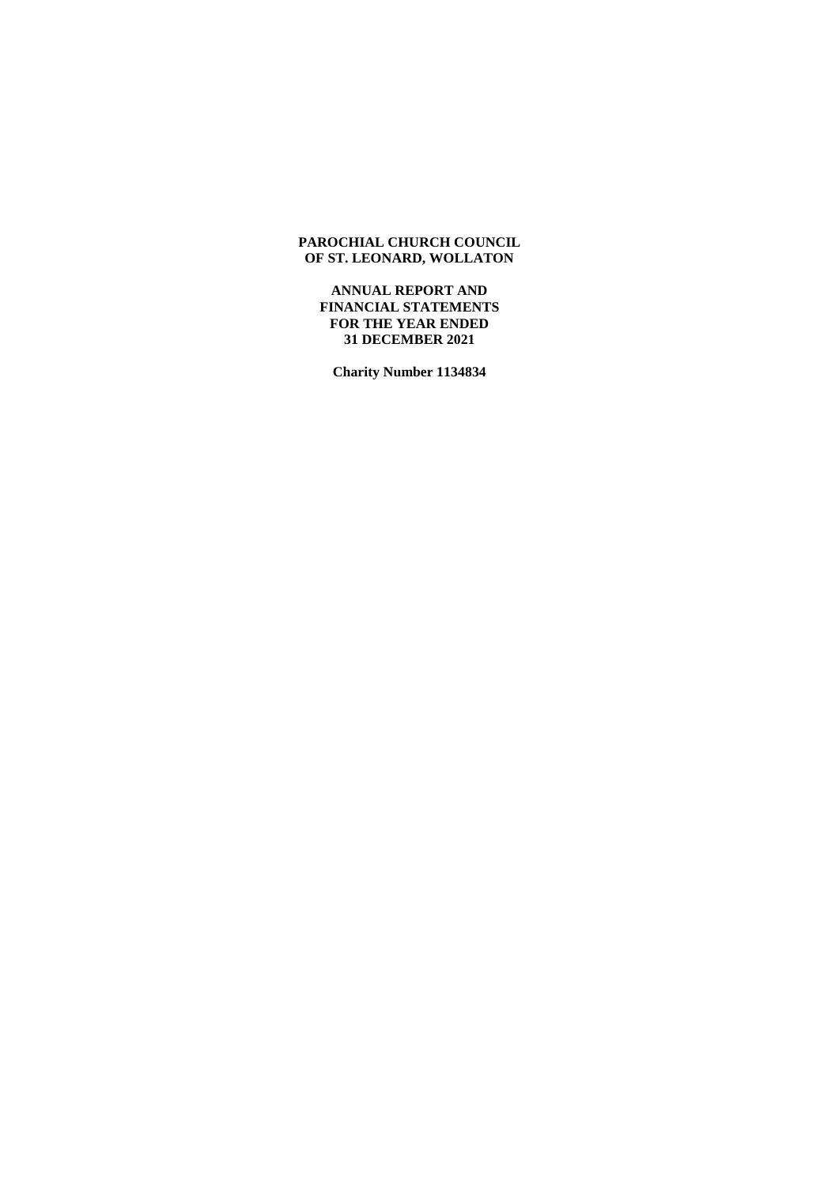**ANNUAL REPORT AND FINANCIAL STATEMENTS FOR THE YEAR ENDED 31 DECEMBER 2021**

**Charity Number 1134834**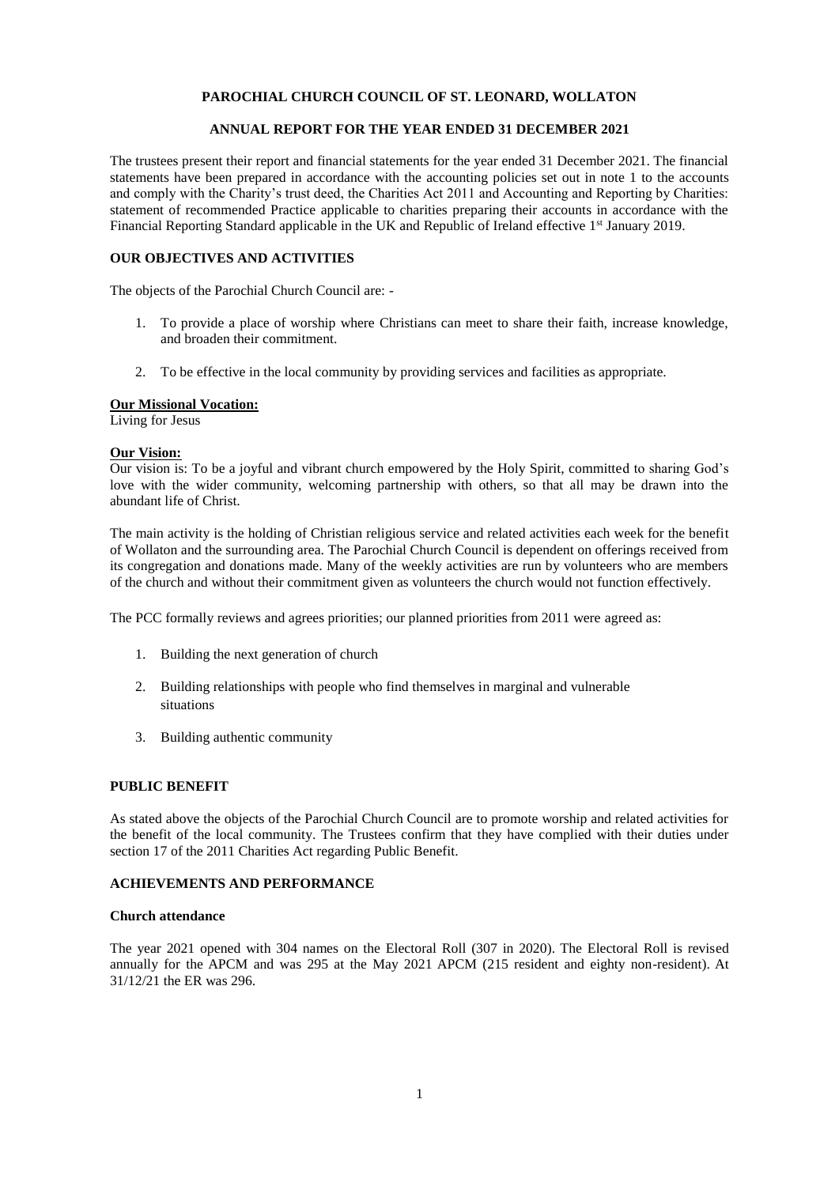## **ANNUAL REPORT FOR THE YEAR ENDED 31 DECEMBER 2021**

The trustees present their report and financial statements for the year ended 31 December 2021. The financial statements have been prepared in accordance with the accounting policies set out in note 1 to the accounts and comply with the Charity's trust deed, the Charities Act 2011 and Accounting and Reporting by Charities: statement of recommended Practice applicable to charities preparing their accounts in accordance with the Financial Reporting Standard applicable in the UK and Republic of Ireland effective 1<sup>st</sup> January 2019.

## **OUR OBJECTIVES AND ACTIVITIES**

The objects of the Parochial Church Council are: -

- 1. To provide a place of worship where Christians can meet to share their faith, increase knowledge, and broaden their commitment.
- 2. To be effective in the local community by providing services and facilities as appropriate.

## **Our Missional Vocation:**

Living for Jesus

## **Our Vision:**

Our vision is: To be a joyful and vibrant church empowered by the Holy Spirit, committed to sharing God's love with the wider community, welcoming partnership with others, so that all may be drawn into the abundant life of Christ.

The main activity is the holding of Christian religious service and related activities each week for the benefit of Wollaton and the surrounding area. The Parochial Church Council is dependent on offerings received from its congregation and donations made. Many of the weekly activities are run by volunteers who are members of the church and without their commitment given as volunteers the church would not function effectively.

The PCC formally reviews and agrees priorities; our planned priorities from 2011 were agreed as:

- 1. Building the next generation of church
- 2. Building relationships with people who find themselves in marginal and vulnerable situations
- 3. Building authentic community

### **PUBLIC BENEFIT**

As stated above the objects of the Parochial Church Council are to promote worship and related activities for the benefit of the local community. The Trustees confirm that they have complied with their duties under section 17 of the 2011 Charities Act regarding Public Benefit.

### **ACHIEVEMENTS AND PERFORMANCE**

### **Church attendance**

The year 2021 opened with 304 names on the Electoral Roll (307 in 2020). The Electoral Roll is revised annually for the APCM and was 295 at the May 2021 APCM (215 resident and eighty non-resident). At 31/12/21 the ER was 296.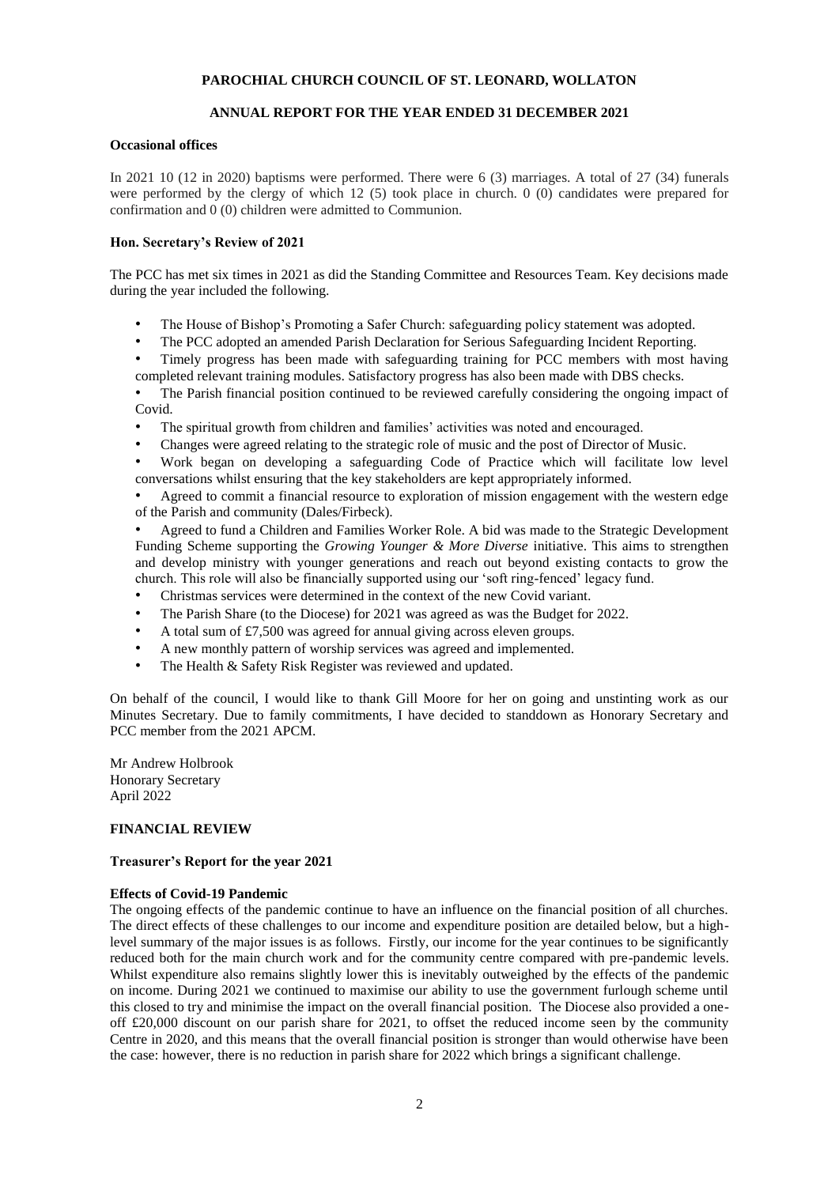## **ANNUAL REPORT FOR THE YEAR ENDED 31 DECEMBER 2021**

## **Occasional offices**

In 2021 10 (12 in 2020) baptisms were performed. There were 6 (3) marriages. A total of 27 (34) funerals were performed by the clergy of which 12 (5) took place in church. 0 (0) candidates were prepared for confirmation and 0 (0) children were admitted to Communion.

## **Hon. Secretary's Review of 2021**

The PCC has met six times in 2021 as did the Standing Committee and Resources Team. Key decisions made during the year included the following.

- The House of Bishop's Promoting a Safer Church: safeguarding policy statement was adopted.
- The PCC adopted an amended Parish Declaration for Serious Safeguarding Incident Reporting.
- Timely progress has been made with safeguarding training for PCC members with most having completed relevant training modules. Satisfactory progress has also been made with DBS checks.

The Parish financial position continued to be reviewed carefully considering the ongoing impact of Covid.

- The spiritual growth from children and families' activities was noted and encouraged.
- Changes were agreed relating to the strategic role of music and the post of Director of Music.
- Work began on developing a safeguarding Code of Practice which will facilitate low level conversations whilst ensuring that the key stakeholders are kept appropriately informed.

• Agreed to commit a financial resource to exploration of mission engagement with the western edge of the Parish and community (Dales/Firbeck).

• Agreed to fund a Children and Families Worker Role. A bid was made to the Strategic Development Funding Scheme supporting the *Growing Younger & More Diverse* initiative. This aims to strengthen and develop ministry with younger generations and reach out beyond existing contacts to grow the church. This role will also be financially supported using our 'soft ring-fenced' legacy fund.

- Christmas services were determined in the context of the new Covid variant.
- The Parish Share (to the Diocese) for 2021 was agreed as was the Budget for 2022.
- A total sum of £7,500 was agreed for annual giving across eleven groups.
- A new monthly pattern of worship services was agreed and implemented.
- The Health & Safety Risk Register was reviewed and updated.

On behalf of the council, I would like to thank Gill Moore for her on going and unstinting work as our Minutes Secretary. Due to family commitments, I have decided to standdown as Honorary Secretary and PCC member from the 2021 APCM.

Mr Andrew Holbrook Honorary Secretary April 2022

## **FINANCIAL REVIEW**

## **Treasurer's Report for the year 2021**

## **Effects of Covid-19 Pandemic**

The ongoing effects of the pandemic continue to have an influence on the financial position of all churches. The direct effects of these challenges to our income and expenditure position are detailed below, but a highlevel summary of the major issues is as follows. Firstly, our income for the year continues to be significantly reduced both for the main church work and for the community centre compared with pre-pandemic levels. Whilst expenditure also remains slightly lower this is inevitably outweighed by the effects of the pandemic on income. During 2021 we continued to maximise our ability to use the government furlough scheme until this closed to try and minimise the impact on the overall financial position. The Diocese also provided a oneoff £20,000 discount on our parish share for 2021, to offset the reduced income seen by the community Centre in 2020, and this means that the overall financial position is stronger than would otherwise have been the case: however, there is no reduction in parish share for 2022 which brings a significant challenge.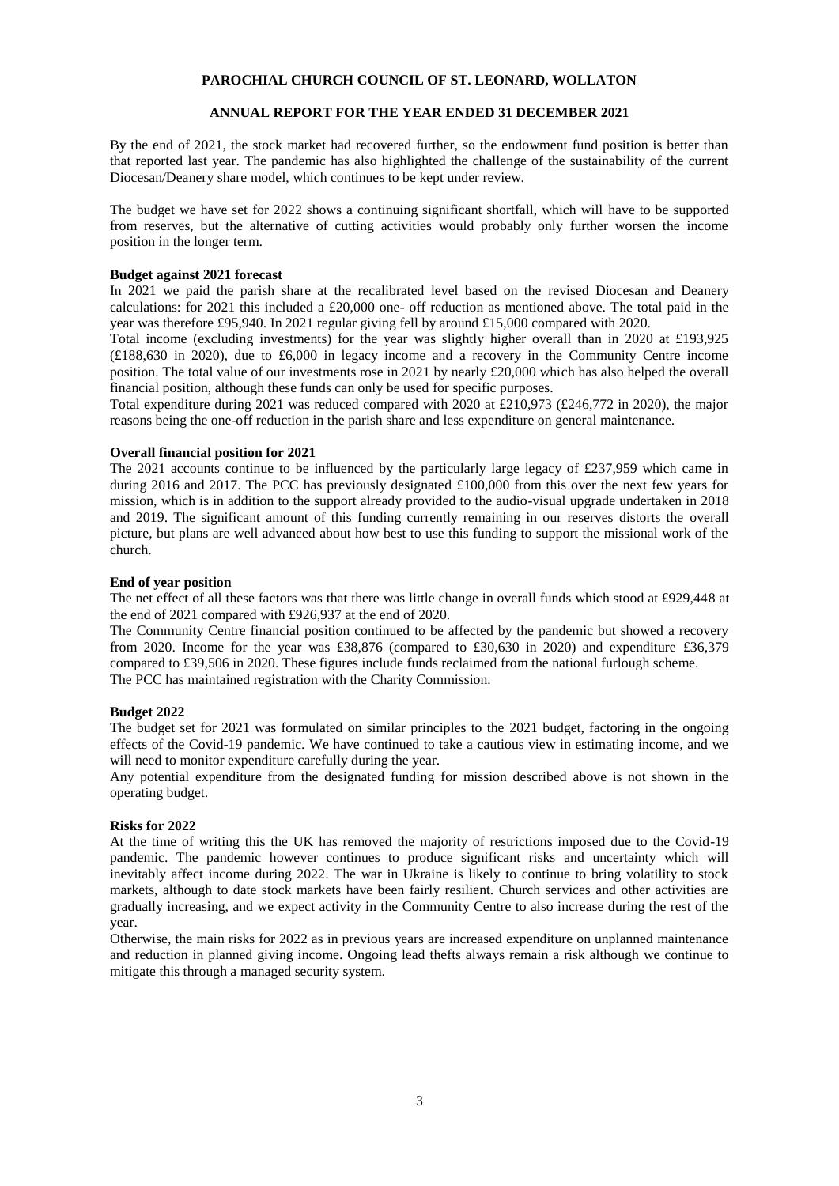## **ANNUAL REPORT FOR THE YEAR ENDED 31 DECEMBER 2021**

By the end of 2021, the stock market had recovered further, so the endowment fund position is better than that reported last year. The pandemic has also highlighted the challenge of the sustainability of the current Diocesan/Deanery share model, which continues to be kept under review.

The budget we have set for 2022 shows a continuing significant shortfall, which will have to be supported from reserves, but the alternative of cutting activities would probably only further worsen the income position in the longer term.

#### **Budget against 2021 forecast**

In 2021 we paid the parish share at the recalibrated level based on the revised Diocesan and Deanery calculations: for 2021 this included a £20,000 one- off reduction as mentioned above. The total paid in the year was therefore £95,940. In 2021 regular giving fell by around £15,000 compared with 2020.

Total income (excluding investments) for the year was slightly higher overall than in 2020 at £193,925 (£188,630 in 2020), due to £6,000 in legacy income and a recovery in the Community Centre income position. The total value of our investments rose in 2021 by nearly £20,000 which has also helped the overall financial position, although these funds can only be used for specific purposes.

Total expenditure during 2021 was reduced compared with 2020 at £210,973 (£246,772 in 2020), the major reasons being the one-off reduction in the parish share and less expenditure on general maintenance.

### **Overall financial position for 2021**

The 2021 accounts continue to be influenced by the particularly large legacy of £237,959 which came in during 2016 and 2017. The PCC has previously designated £100,000 from this over the next few years for mission, which is in addition to the support already provided to the audio-visual upgrade undertaken in 2018 and 2019. The significant amount of this funding currently remaining in our reserves distorts the overall picture, but plans are well advanced about how best to use this funding to support the missional work of the church.

### **End of year position**

The net effect of all these factors was that there was little change in overall funds which stood at £929,448 at the end of 2021 compared with £926,937 at the end of 2020.

The Community Centre financial position continued to be affected by the pandemic but showed a recovery from 2020. Income for the year was £38,876 (compared to £30,630 in 2020) and expenditure £36,379 compared to £39,506 in 2020. These figures include funds reclaimed from the national furlough scheme. The PCC has maintained registration with the Charity Commission.

#### **Budget 2022**

The budget set for 2021 was formulated on similar principles to the 2021 budget, factoring in the ongoing effects of the Covid-19 pandemic. We have continued to take a cautious view in estimating income, and we will need to monitor expenditure carefully during the year.

Any potential expenditure from the designated funding for mission described above is not shown in the operating budget.

### **Risks for 2022**

At the time of writing this the UK has removed the majority of restrictions imposed due to the Covid-19 pandemic. The pandemic however continues to produce significant risks and uncertainty which will inevitably affect income during 2022. The war in Ukraine is likely to continue to bring volatility to stock markets, although to date stock markets have been fairly resilient. Church services and other activities are gradually increasing, and we expect activity in the Community Centre to also increase during the rest of the year.

Otherwise, the main risks for 2022 as in previous years are increased expenditure on unplanned maintenance and reduction in planned giving income. Ongoing lead thefts always remain a risk although we continue to mitigate this through a managed security system.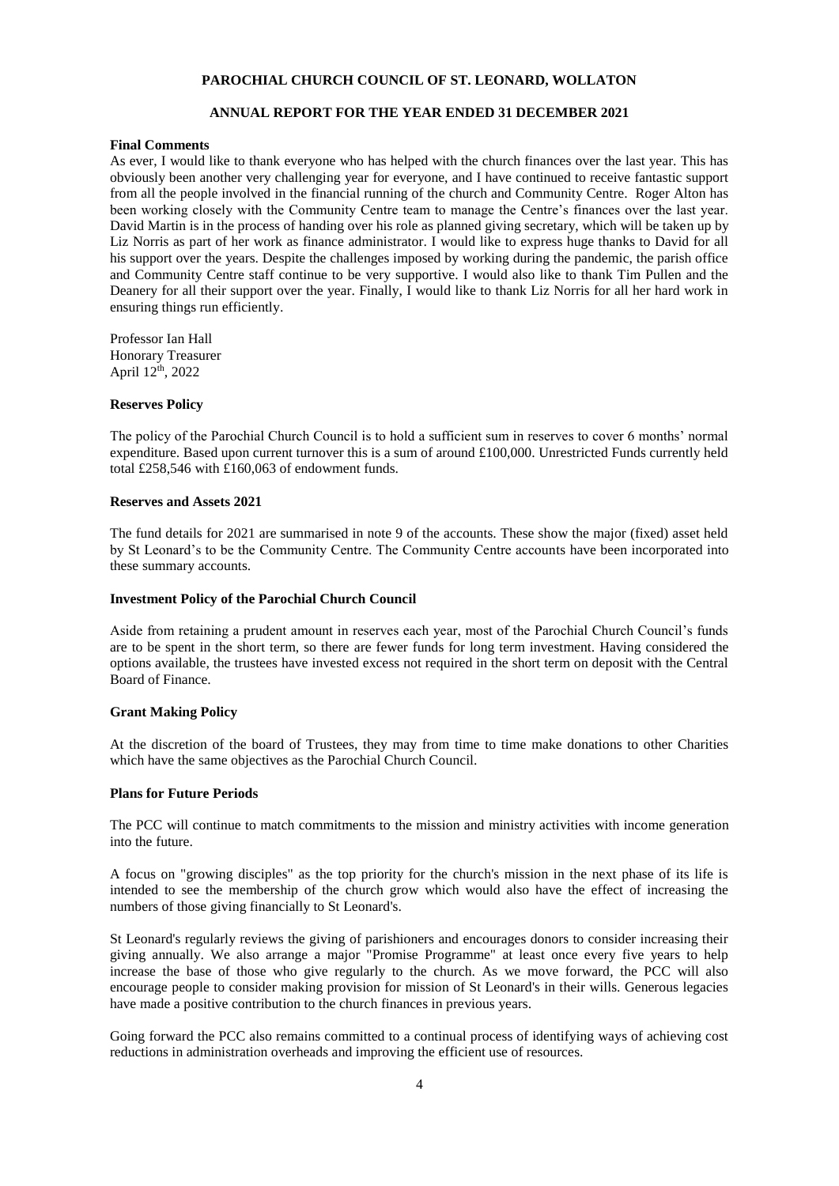## **ANNUAL REPORT FOR THE YEAR ENDED 31 DECEMBER 2021**

#### **Final Comments**

As ever, I would like to thank everyone who has helped with the church finances over the last year. This has obviously been another very challenging year for everyone, and I have continued to receive fantastic support from all the people involved in the financial running of the church and Community Centre. Roger Alton has been working closely with the Community Centre team to manage the Centre's finances over the last year. David Martin is in the process of handing over his role as planned giving secretary, which will be taken up by Liz Norris as part of her work as finance administrator. I would like to express huge thanks to David for all his support over the years. Despite the challenges imposed by working during the pandemic, the parish office and Community Centre staff continue to be very supportive. I would also like to thank Tim Pullen and the Deanery for all their support over the year. Finally, I would like to thank Liz Norris for all her hard work in ensuring things run efficiently.

Professor Ian Hall Honorary Treasurer April 12th, 2022

#### **Reserves Policy**

The policy of the Parochial Church Council is to hold a sufficient sum in reserves to cover 6 months' normal expenditure. Based upon current turnover this is a sum of around £100,000. Unrestricted Funds currently held total £258,546 with £160,063 of endowment funds.

#### **Reserves and Assets 2021**

The fund details for 2021 are summarised in note 9 of the accounts. These show the major (fixed) asset held by St Leonard's to be the Community Centre. The Community Centre accounts have been incorporated into these summary accounts.

#### **Investment Policy of the Parochial Church Council**

Aside from retaining a prudent amount in reserves each year, most of the Parochial Church Council's funds are to be spent in the short term, so there are fewer funds for long term investment. Having considered the options available, the trustees have invested excess not required in the short term on deposit with the Central Board of Finance.

#### **Grant Making Policy**

At the discretion of the board of Trustees, they may from time to time make donations to other Charities which have the same objectives as the Parochial Church Council.

#### **Plans for Future Periods**

The PCC will continue to match commitments to the mission and ministry activities with income generation into the future.

A focus on "growing disciples" as the top priority for the church's mission in the next phase of its life is intended to see the membership of the church grow which would also have the effect of increasing the numbers of those giving financially to St Leonard's.

St Leonard's regularly reviews the giving of parishioners and encourages donors to consider increasing their giving annually. We also arrange a major "Promise Programme" at least once every five years to help increase the base of those who give regularly to the church. As we move forward, the PCC will also encourage people to consider making provision for mission of St Leonard's in their wills. Generous legacies have made a positive contribution to the church finances in previous years.

Going forward the PCC also remains committed to a continual process of identifying ways of achieving cost reductions in administration overheads and improving the efficient use of resources.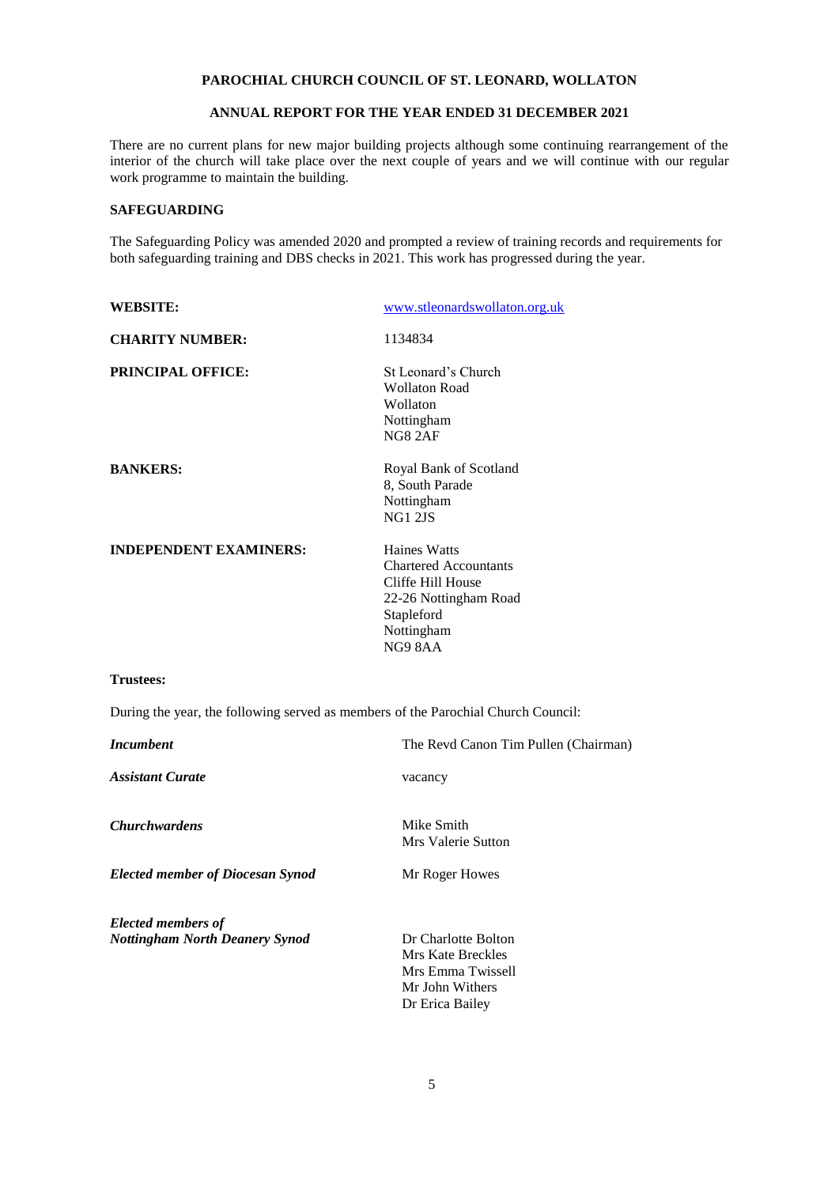## **ANNUAL REPORT FOR THE YEAR ENDED 31 DECEMBER 2021**

There are no current plans for new major building projects although some continuing rearrangement of the interior of the church will take place over the next couple of years and we will continue with our regular work programme to maintain the building.

## **SAFEGUARDING**

The Safeguarding Policy was amended 2020 and prompted a review of training records and requirements for both safeguarding training and DBS checks in 2021. This work has progressed during the year.

| <b>WEBSITE:</b>                                                                   | www.stleonardswollaton.org.uk                                                                                                    |  |  |  |  |
|-----------------------------------------------------------------------------------|----------------------------------------------------------------------------------------------------------------------------------|--|--|--|--|
| <b>CHARITY NUMBER:</b>                                                            | 1134834                                                                                                                          |  |  |  |  |
| <b>PRINCIPAL OFFICE:</b>                                                          | St Leonard's Church<br><b>Wollaton Road</b><br>Wollaton<br>Nottingham<br><b>NG8 2AF</b>                                          |  |  |  |  |
| <b>BANKERS:</b>                                                                   | Royal Bank of Scotland<br>8, South Parade<br>Nottingham<br><b>NG1 2JS</b>                                                        |  |  |  |  |
| <b>INDEPENDENT EXAMINERS:</b>                                                     | Haines Watts<br><b>Chartered Accountants</b><br>Cliffe Hill House<br>22-26 Nottingham Road<br>Stapleford<br>Nottingham<br>NG98AA |  |  |  |  |
| <b>Trustees:</b>                                                                  |                                                                                                                                  |  |  |  |  |
| During the year, the following served as members of the Parochial Church Council: |                                                                                                                                  |  |  |  |  |
| <b>Incumbent</b>                                                                  | The Revd Canon Tim Pullen (Chairman)                                                                                             |  |  |  |  |
| <b>Assistant Curate</b>                                                           | vacancy                                                                                                                          |  |  |  |  |
| <b>Churchwardens</b>                                                              | Mike Smith<br>Mrs Valerie Sutton                                                                                                 |  |  |  |  |
| <b>Elected member of Diocesan Synod</b>                                           | Mr Roger Howes                                                                                                                   |  |  |  |  |
| <b>Elected members of</b>                                                         |                                                                                                                                  |  |  |  |  |
| <b>Nottingham North Deanery Synod</b>                                             | Dr Charlotte Bolton<br><b>Mrs Kate Breckles</b><br>Mrs Emma Twissell<br>Mr John Withers<br>Dr Erica Bailey                       |  |  |  |  |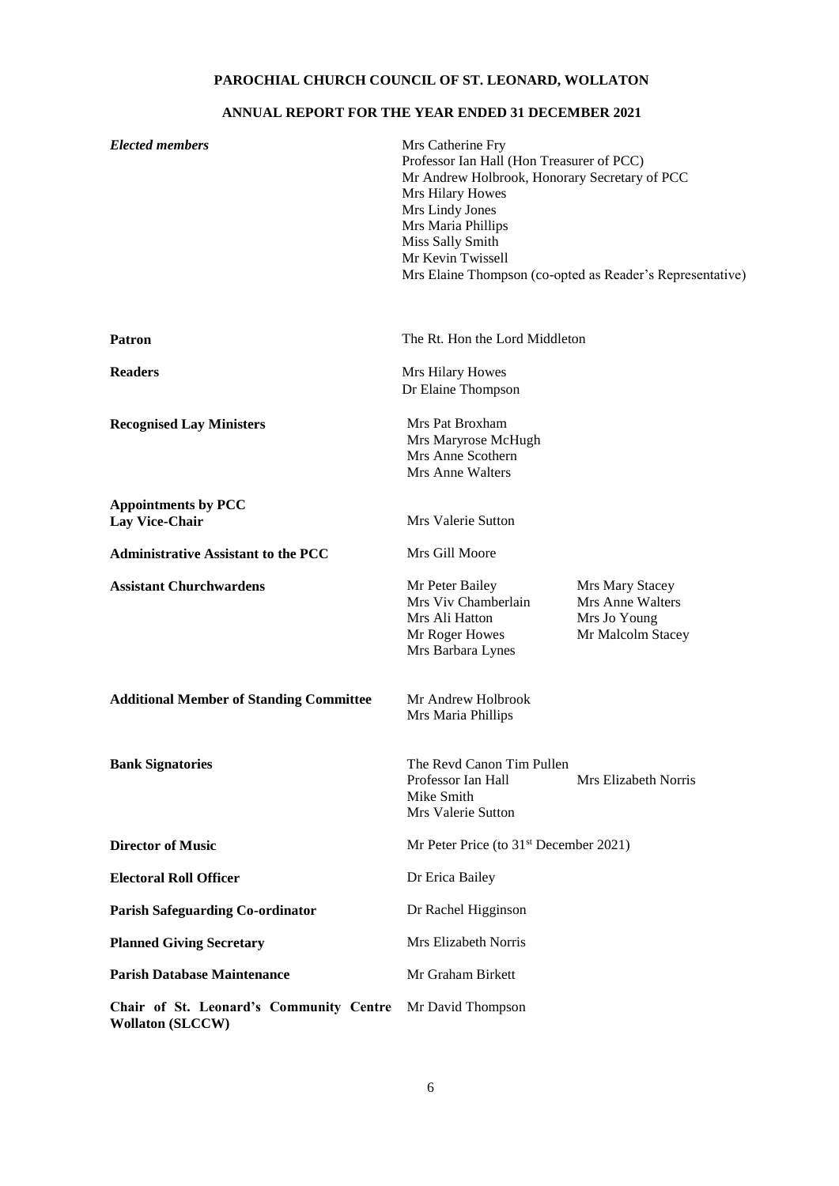# **ANNUAL REPORT FOR THE YEAR ENDED 31 DECEMBER 2021**

| <b>Elected members</b>                                             | Mrs Catherine Fry<br>Professor Ian Hall (Hon Treasurer of PCC)<br>Mr Andrew Holbrook, Honorary Secretary of PCC<br>Mrs Hilary Howes<br>Mrs Lindy Jones<br>Mrs Maria Phillips<br>Miss Sally Smith<br>Mr Kevin Twissell<br>Mrs Elaine Thompson (co-opted as Reader's Representative) |                                                                          |  |  |  |
|--------------------------------------------------------------------|------------------------------------------------------------------------------------------------------------------------------------------------------------------------------------------------------------------------------------------------------------------------------------|--------------------------------------------------------------------------|--|--|--|
| <b>Patron</b>                                                      | The Rt. Hon the Lord Middleton                                                                                                                                                                                                                                                     |                                                                          |  |  |  |
| <b>Readers</b>                                                     | Mrs Hilary Howes<br>Dr Elaine Thompson                                                                                                                                                                                                                                             |                                                                          |  |  |  |
| <b>Recognised Lay Ministers</b>                                    | Mrs Pat Broxham<br>Mrs Maryrose McHugh<br>Mrs Anne Scothern<br>Mrs Anne Walters                                                                                                                                                                                                    |                                                                          |  |  |  |
| <b>Appointments by PCC</b><br><b>Lay Vice-Chair</b>                | Mrs Valerie Sutton                                                                                                                                                                                                                                                                 |                                                                          |  |  |  |
| <b>Administrative Assistant to the PCC</b>                         | Mrs Gill Moore                                                                                                                                                                                                                                                                     |                                                                          |  |  |  |
| <b>Assistant Churchwardens</b>                                     | Mr Peter Bailey<br>Mrs Viv Chamberlain<br>Mrs Ali Hatton<br>Mr Roger Howes<br>Mrs Barbara Lynes                                                                                                                                                                                    | Mrs Mary Stacey<br>Mrs Anne Walters<br>Mrs Jo Young<br>Mr Malcolm Stacey |  |  |  |
| <b>Additional Member of Standing Committee</b>                     | Mr Andrew Holbrook<br>Mrs Maria Phillips                                                                                                                                                                                                                                           |                                                                          |  |  |  |
| <b>Bank Signatories</b>                                            | The Revd Canon Tim Pullen<br>Professor Ian Hall<br>Mike Smith<br>Mrs Valerie Sutton                                                                                                                                                                                                | Mrs Elizabeth Norris                                                     |  |  |  |
| <b>Director of Music</b>                                           | Mr Peter Price (to 31 <sup>st</sup> December 2021)                                                                                                                                                                                                                                 |                                                                          |  |  |  |
| <b>Electoral Roll Officer</b>                                      | Dr Erica Bailey                                                                                                                                                                                                                                                                    |                                                                          |  |  |  |
| <b>Parish Safeguarding Co-ordinator</b>                            | Dr Rachel Higginson                                                                                                                                                                                                                                                                |                                                                          |  |  |  |
| <b>Planned Giving Secretary</b>                                    | Mrs Elizabeth Norris                                                                                                                                                                                                                                                               |                                                                          |  |  |  |
| <b>Parish Database Maintenance</b>                                 | Mr Graham Birkett                                                                                                                                                                                                                                                                  |                                                                          |  |  |  |
| Chair of St. Leonard's Community Centre<br><b>Wollaton (SLCCW)</b> | Mr David Thompson                                                                                                                                                                                                                                                                  |                                                                          |  |  |  |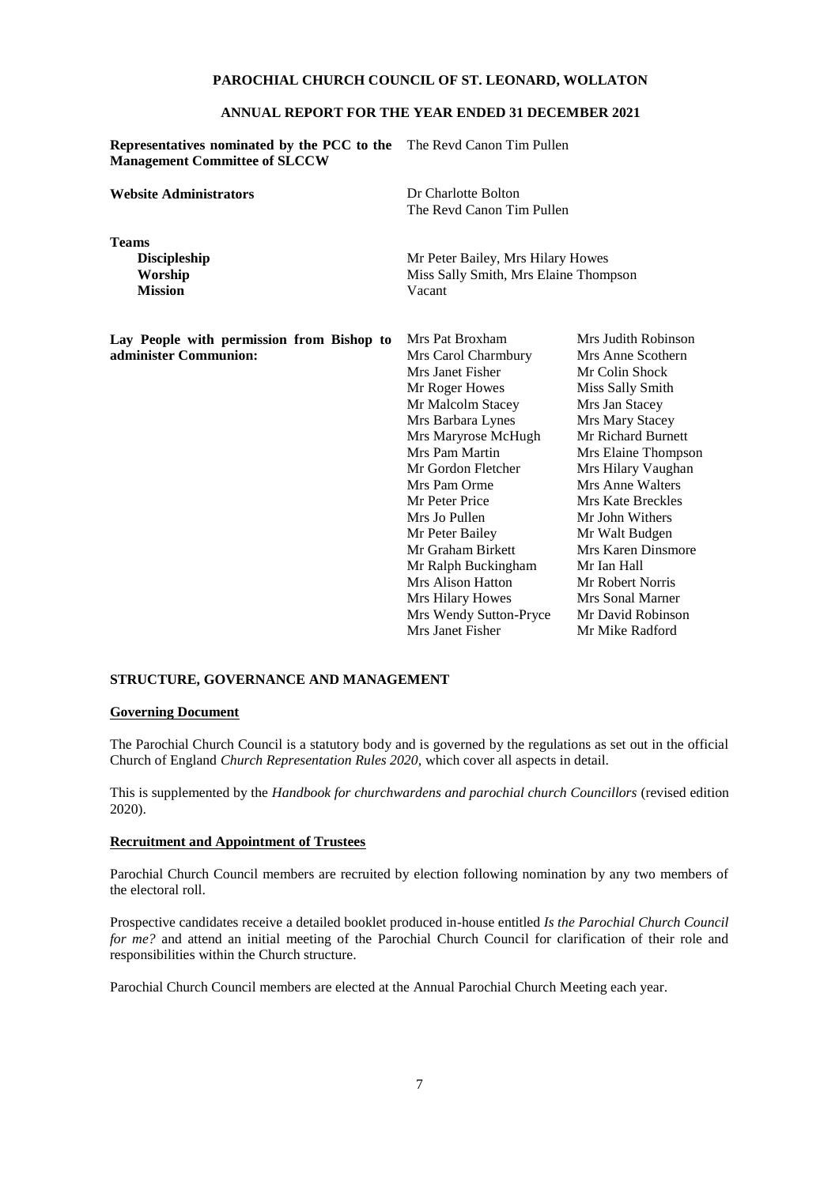### **ANNUAL REPORT FOR THE YEAR ENDED 31 DECEMBER 2021**

**Representatives nominated by the PCC to the**  The Revd Canon Tim Pullen **Management Committee of SLCCW**

**Website Administrators** Dr Charlotte Bolton

**Teams Mission** Vacant

The Revd Canon Tim Pullen

**Discipleship** Mr Peter Bailey, Mrs Hilary Howes **Worship** Miss Sally Smith, Mrs Elaine Thompson

**Lay People with permission from Bishop to administer Communion:**

Mrs Pat Broxham Mrs Carol Charmbury Mrs Janet Fisher Mr Roger Howes Mr Malcolm Stacey Mrs Barbara Lynes Mrs Mary Stacey<br>
Mrs Maryrose McHugh Mr Richard Burnett Mrs Maryrose McHugh Mrs Pam Martin Mrs Elaine Thompson Mr Gordon Fletcher Mrs Hilary Vaughan Mrs Pam Orme Mrs Anne Walters Mr Peter Price Mrs Kate Breckles Mrs Jo Pullen Mr John Withers Mr Peter Bailey Mr Walt Budgen Mr Graham Birkett Mrs Karen Dinsmore Mr Ralph Buckingham Mr Ian Hall Mrs Alison Hatton Mr Robert Norris Mrs Hilary Howes Mrs Sonal Marner Mrs Wendy Sutton-Pryce Mr David Robinson Mrs Janet Fisher Mr Mike Radford

Mrs Judith Robinson Mrs Anne Scothern Mr Colin Shock Miss Sally Smith Mrs Jan Stacey

#### **STRUCTURE, GOVERNANCE AND MANAGEMENT**

#### **Governing Document**

The Parochial Church Council is a statutory body and is governed by the regulations as set out in the official Church of England *Church Representation Rules 2020,* which cover all aspects in detail.

This is supplemented by the *Handbook for churchwardens and parochial church Councillors* (revised edition 2020).

#### **Recruitment and Appointment of Trustees**

Parochial Church Council members are recruited by election following nomination by any two members of the electoral roll.

Prospective candidates receive a detailed booklet produced in-house entitled *Is the Parochial Church Council for me?* and attend an initial meeting of the Parochial Church Council for clarification of their role and responsibilities within the Church structure.

Parochial Church Council members are elected at the Annual Parochial Church Meeting each year.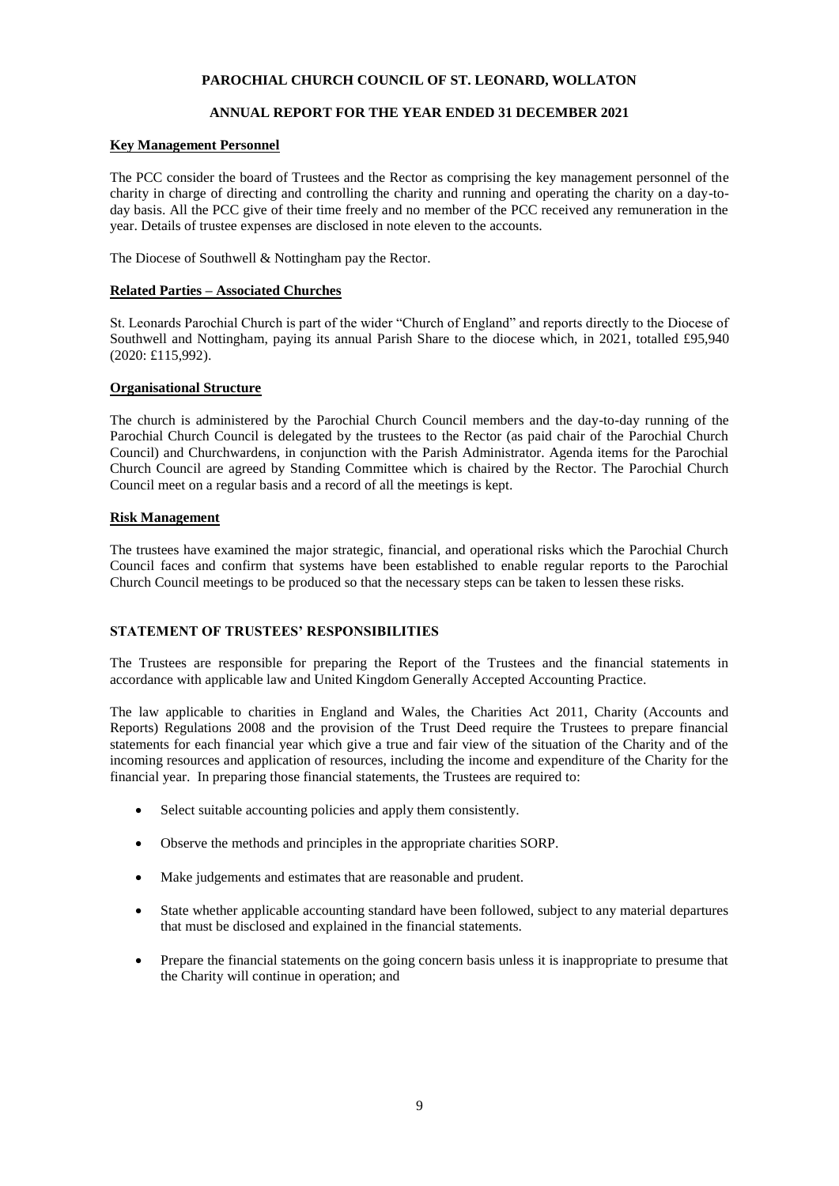## **ANNUAL REPORT FOR THE YEAR ENDED 31 DECEMBER 2021**

## **Key Management Personnel**

The PCC consider the board of Trustees and the Rector as comprising the key management personnel of the charity in charge of directing and controlling the charity and running and operating the charity on a day-today basis. All the PCC give of their time freely and no member of the PCC received any remuneration in the year. Details of trustee expenses are disclosed in note eleven to the accounts.

The Diocese of Southwell & Nottingham pay the Rector.

## **Related Parties – Associated Churches**

St. Leonards Parochial Church is part of the wider "Church of England" and reports directly to the Diocese of Southwell and Nottingham, paying its annual Parish Share to the diocese which, in 2021, totalled £95,940 (2020: £115,992).

## **Organisational Structure**

The church is administered by the Parochial Church Council members and the day-to-day running of the Parochial Church Council is delegated by the trustees to the Rector (as paid chair of the Parochial Church Council) and Churchwardens, in conjunction with the Parish Administrator. Agenda items for the Parochial Church Council are agreed by Standing Committee which is chaired by the Rector. The Parochial Church Council meet on a regular basis and a record of all the meetings is kept.

## **Risk Management**

The trustees have examined the major strategic, financial, and operational risks which the Parochial Church Council faces and confirm that systems have been established to enable regular reports to the Parochial Church Council meetings to be produced so that the necessary steps can be taken to lessen these risks.

## **STATEMENT OF TRUSTEES' RESPONSIBILITIES**

The Trustees are responsible for preparing the Report of the Trustees and the financial statements in accordance with applicable law and United Kingdom Generally Accepted Accounting Practice.

The law applicable to charities in England and Wales, the Charities Act 2011, Charity (Accounts and Reports) Regulations 2008 and the provision of the Trust Deed require the Trustees to prepare financial statements for each financial year which give a true and fair view of the situation of the Charity and of the incoming resources and application of resources, including the income and expenditure of the Charity for the financial year. In preparing those financial statements, the Trustees are required to:

- Select suitable accounting policies and apply them consistently.
- Observe the methods and principles in the appropriate charities SORP.
- Make judgements and estimates that are reasonable and prudent.
- State whether applicable accounting standard have been followed, subject to any material departures that must be disclosed and explained in the financial statements.
- Prepare the financial statements on the going concern basis unless it is inappropriate to presume that the Charity will continue in operation; and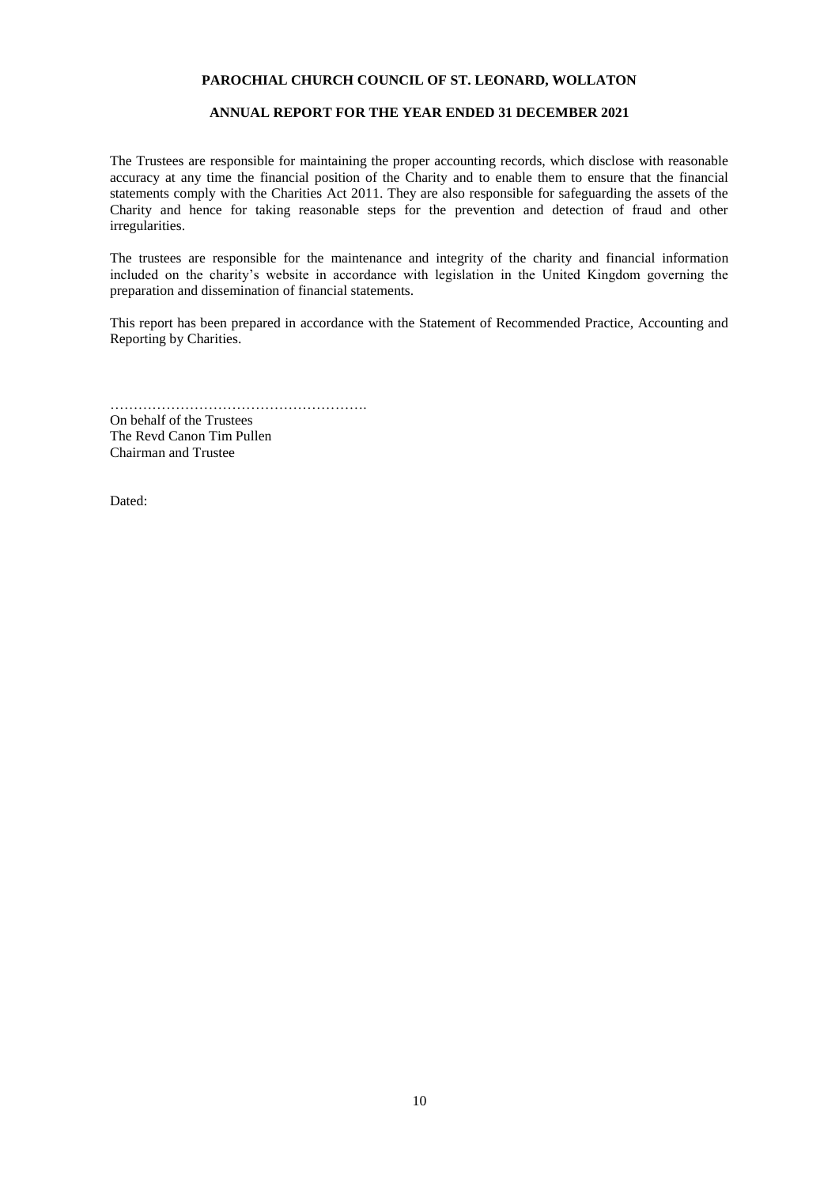## **ANNUAL REPORT FOR THE YEAR ENDED 31 DECEMBER 2021**

The Trustees are responsible for maintaining the proper accounting records, which disclose with reasonable accuracy at any time the financial position of the Charity and to enable them to ensure that the financial statements comply with the Charities Act 2011. They are also responsible for safeguarding the assets of the Charity and hence for taking reasonable steps for the prevention and detection of fraud and other irregularities.

The trustees are responsible for the maintenance and integrity of the charity and financial information included on the charity's website in accordance with legislation in the United Kingdom governing the preparation and dissemination of financial statements.

This report has been prepared in accordance with the Statement of Recommended Practice, Accounting and Reporting by Charities.

……………………………………………….

On behalf of the Trustees The Revd Canon Tim Pullen Chairman and Trustee

Dated: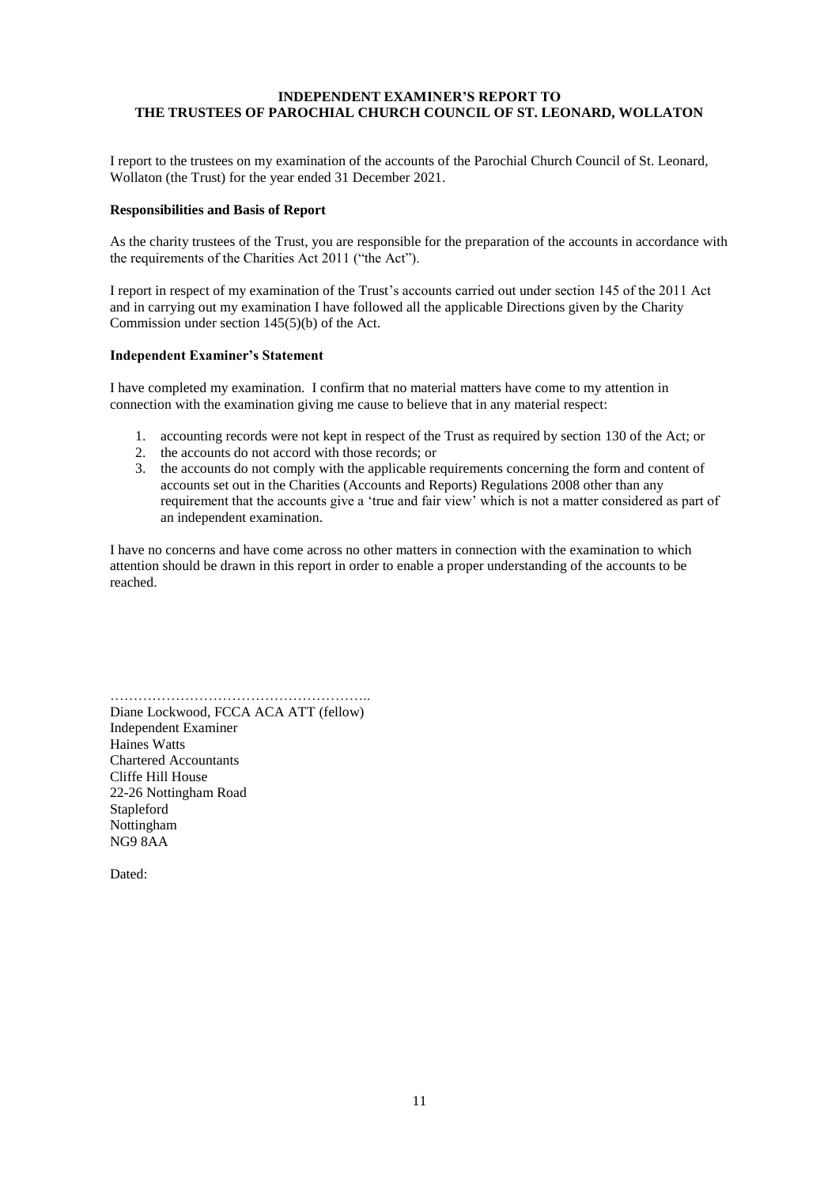## **INDEPENDENT EXAMINER'S REPORT TO THE TRUSTEES OF PAROCHIAL CHURCH COUNCIL OF ST. LEONARD, WOLLATON**

I report to the trustees on my examination of the accounts of the Parochial Church Council of St. Leonard, Wollaton (the Trust) for the year ended 31 December 2021.

### **Responsibilities and Basis of Report**

As the charity trustees of the Trust, you are responsible for the preparation of the accounts in accordance with the requirements of the Charities Act 2011 ("the Act").

I report in respect of my examination of the Trust's accounts carried out under section 145 of the 2011 Act and in carrying out my examination I have followed all the applicable Directions given by the Charity Commission under section 145(5)(b) of the Act.

### **Independent Examiner's Statement**

I have completed my examination. I confirm that no material matters have come to my attention in connection with the examination giving me cause to believe that in any material respect:

- 1. accounting records were not kept in respect of the Trust as required by section 130 of the Act; or
- 2. the accounts do not accord with those records; or
- 3. the accounts do not comply with the applicable requirements concerning the form and content of accounts set out in the Charities (Accounts and Reports) Regulations 2008 other than any requirement that the accounts give a 'true and fair view' which is not a matter considered as part of an independent examination.

I have no concerns and have come across no other matters in connection with the examination to which attention should be drawn in this report in order to enable a proper understanding of the accounts to be reached.

……………………………………………….. Diane Lockwood, FCCA ACA ATT (fellow) Independent Examiner Haines Watts Chartered Accountants Cliffe Hill House 22-26 Nottingham Road Stapleford Nottingham NG9 8AA

Dated: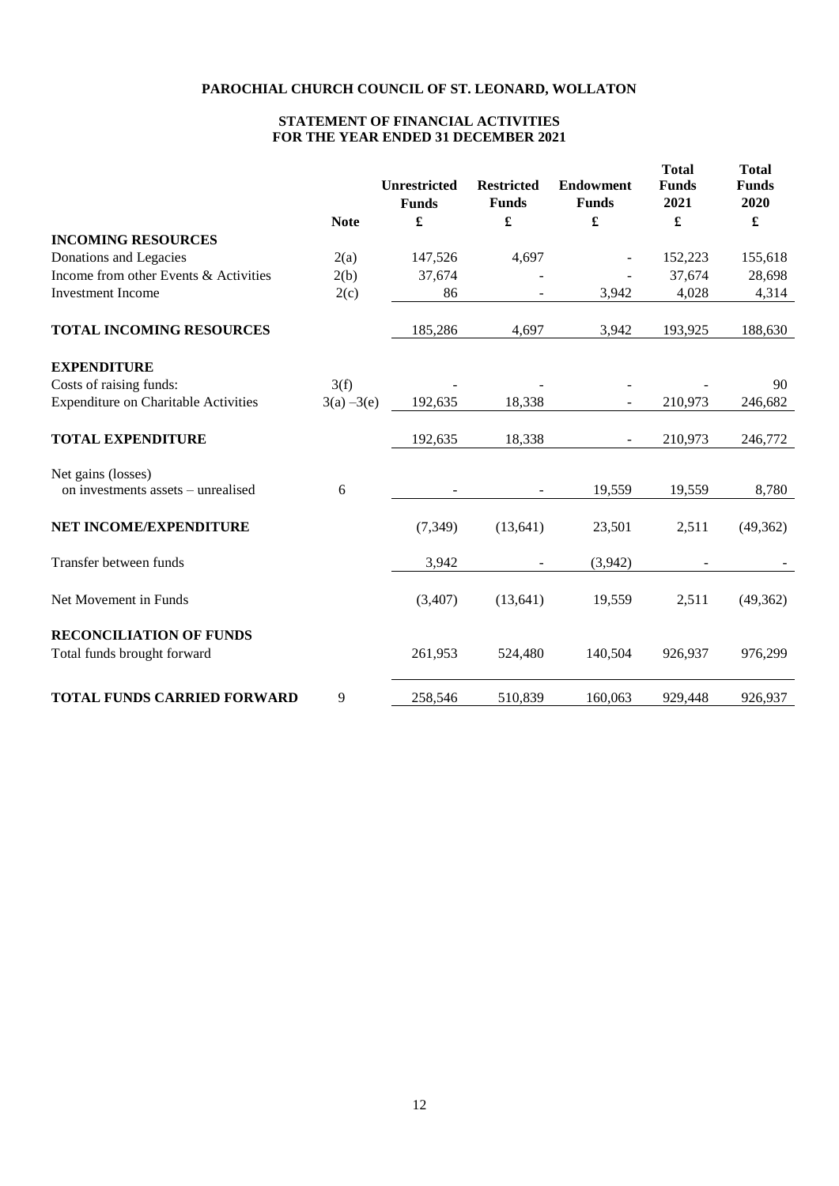## **STATEMENT OF FINANCIAL ACTIVITIES FOR THE YEAR ENDED 31 DECEMBER 2021**

|                                             |               | <b>Unrestricted</b><br><b>Funds</b> | <b>Restricted</b><br><b>Funds</b> | <b>Endowment</b><br><b>Funds</b> | <b>Total</b><br><b>Funds</b><br>2021 | <b>Total</b><br><b>Funds</b><br>2020 |
|---------------------------------------------|---------------|-------------------------------------|-----------------------------------|----------------------------------|--------------------------------------|--------------------------------------|
|                                             | <b>Note</b>   | £                                   | $\pmb{\mathfrak{L}}$              | £                                | £                                    | $\pmb{\mathfrak{L}}$                 |
| <b>INCOMING RESOURCES</b>                   |               |                                     |                                   |                                  |                                      |                                      |
| Donations and Legacies                      | 2(a)          | 147,526                             | 4,697                             |                                  | 152,223                              | 155,618                              |
| Income from other Events & Activities       | 2(b)          | 37,674                              |                                   |                                  | 37,674                               | 28,698                               |
| <b>Investment Income</b>                    | 2(c)          | 86                                  |                                   | 3,942                            | 4,028                                | 4,314                                |
| <b>TOTAL INCOMING RESOURCES</b>             |               | 185,286                             | 4,697                             | 3,942                            | 193,925                              | 188,630                              |
| <b>EXPENDITURE</b>                          |               |                                     |                                   |                                  |                                      |                                      |
| Costs of raising funds:                     | 3(f)          |                                     |                                   |                                  |                                      | 90                                   |
| <b>Expenditure on Charitable Activities</b> | $3(a) - 3(e)$ | 192,635                             | 18,338                            |                                  | 210,973                              | 246,682                              |
| <b>TOTAL EXPENDITURE</b>                    |               | 192,635                             | 18,338                            |                                  | 210,973                              | 246,772                              |
| Net gains (losses)                          |               |                                     |                                   |                                  |                                      |                                      |
| on investments assets – unrealised          | 6             |                                     |                                   | 19,559                           | 19,559                               | 8,780                                |
| NET INCOME/EXPENDITURE                      |               | (7, 349)                            | (13, 641)                         | 23,501                           | 2,511                                | (49,362)                             |
| Transfer between funds                      |               | 3,942                               |                                   | (3,942)                          |                                      |                                      |
| Net Movement in Funds                       |               | (3,407)                             | (13, 641)                         | 19,559                           | 2,511                                | (49,362)                             |
| <b>RECONCILIATION OF FUNDS</b>              |               |                                     |                                   |                                  |                                      |                                      |
| Total funds brought forward                 |               | 261,953                             | 524,480                           | 140,504                          | 926,937                              | 976,299                              |
| <b>TOTAL FUNDS CARRIED FORWARD</b>          | 9             | 258,546                             | 510,839                           | 160,063                          | 929,448                              | 926,937                              |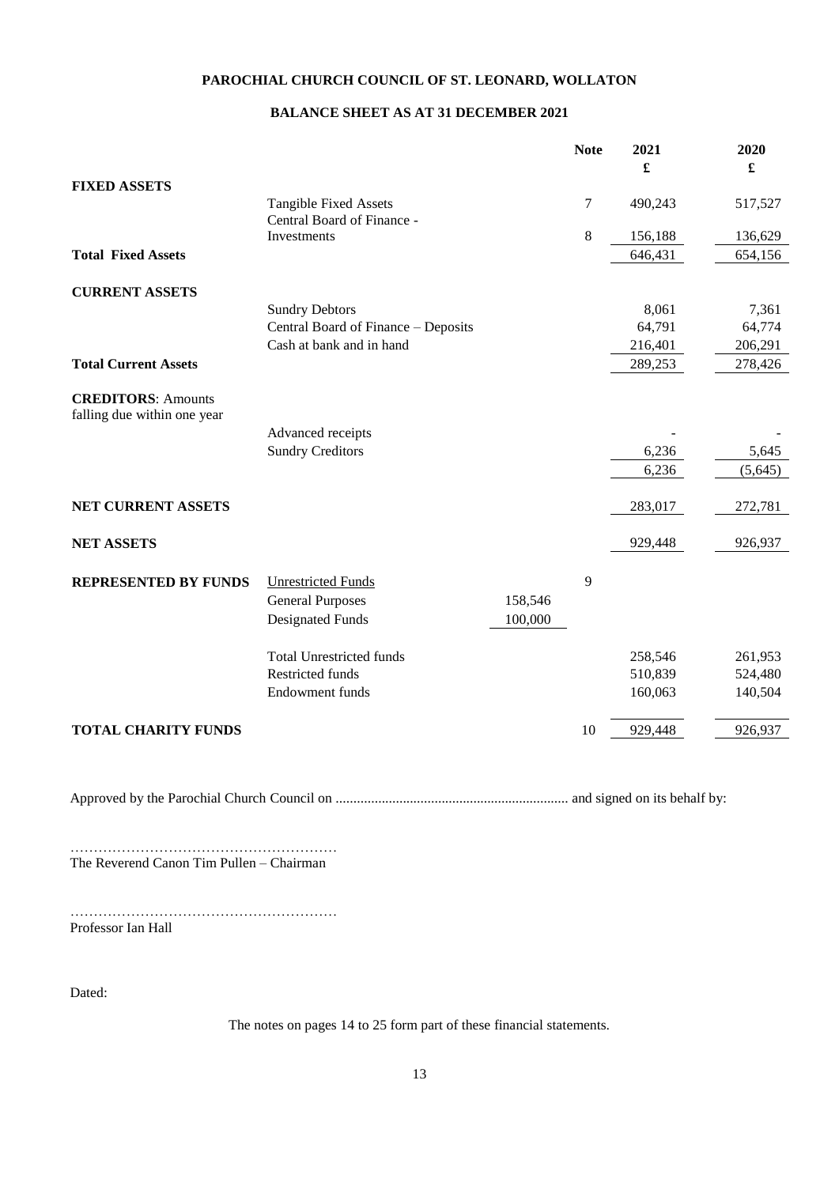## **BALANCE SHEET AS AT 31 DECEMBER 2021**

|                                                          |                                                            |         | <b>Note</b> | 2021<br>£ | 2020<br>£ |
|----------------------------------------------------------|------------------------------------------------------------|---------|-------------|-----------|-----------|
| <b>FIXED ASSETS</b>                                      |                                                            |         |             |           |           |
|                                                          | <b>Tangible Fixed Assets</b><br>Central Board of Finance - |         | 7           | 490,243   | 517,527   |
|                                                          | Investments                                                |         | 8           | 156,188   | 136,629   |
| <b>Total Fixed Assets</b>                                |                                                            |         |             | 646,431   | 654,156   |
| <b>CURRENT ASSETS</b>                                    |                                                            |         |             |           |           |
|                                                          | <b>Sundry Debtors</b>                                      |         |             | 8,061     | 7,361     |
|                                                          | Central Board of Finance - Deposits                        |         |             | 64,791    | 64,774    |
|                                                          | Cash at bank and in hand                                   |         |             | 216,401   | 206,291   |
| <b>Total Current Assets</b>                              |                                                            |         |             | 289,253   | 278,426   |
| <b>CREDITORS: Amounts</b><br>falling due within one year |                                                            |         |             |           |           |
|                                                          | Advanced receipts                                          |         |             |           |           |
|                                                          | <b>Sundry Creditors</b>                                    |         |             | 6,236     | 5,645     |
|                                                          |                                                            |         |             | 6,236     | (5,645)   |
| NET CURRENT ASSETS                                       |                                                            |         |             | 283,017   | 272,781   |
| <b>NET ASSETS</b>                                        |                                                            |         |             | 929,448   | 926,937   |
| <b>REPRESENTED BY FUNDS</b>                              | <b>Unrestricted Funds</b><br><b>General Purposes</b>       | 158,546 | 9           |           |           |
|                                                          | <b>Designated Funds</b>                                    | 100,000 |             |           |           |
|                                                          | <b>Total Unrestricted funds</b>                            |         |             | 258,546   | 261,953   |
|                                                          | <b>Restricted funds</b>                                    |         |             | 510,839   | 524,480   |
|                                                          | <b>Endowment funds</b>                                     |         |             | 160,063   | 140,504   |
| <b>TOTAL CHARITY FUNDS</b>                               |                                                            |         | 10          | 929,448   | 926,937   |

Approved by the Parochial Church Council on .................................................................. and signed on its behalf by:

………………………………………………… The Reverend Canon Tim Pullen – Chairman

………………………………………………… Professor Ian Hall

Dated:

The notes on pages 14 to 25 form part of these financial statements.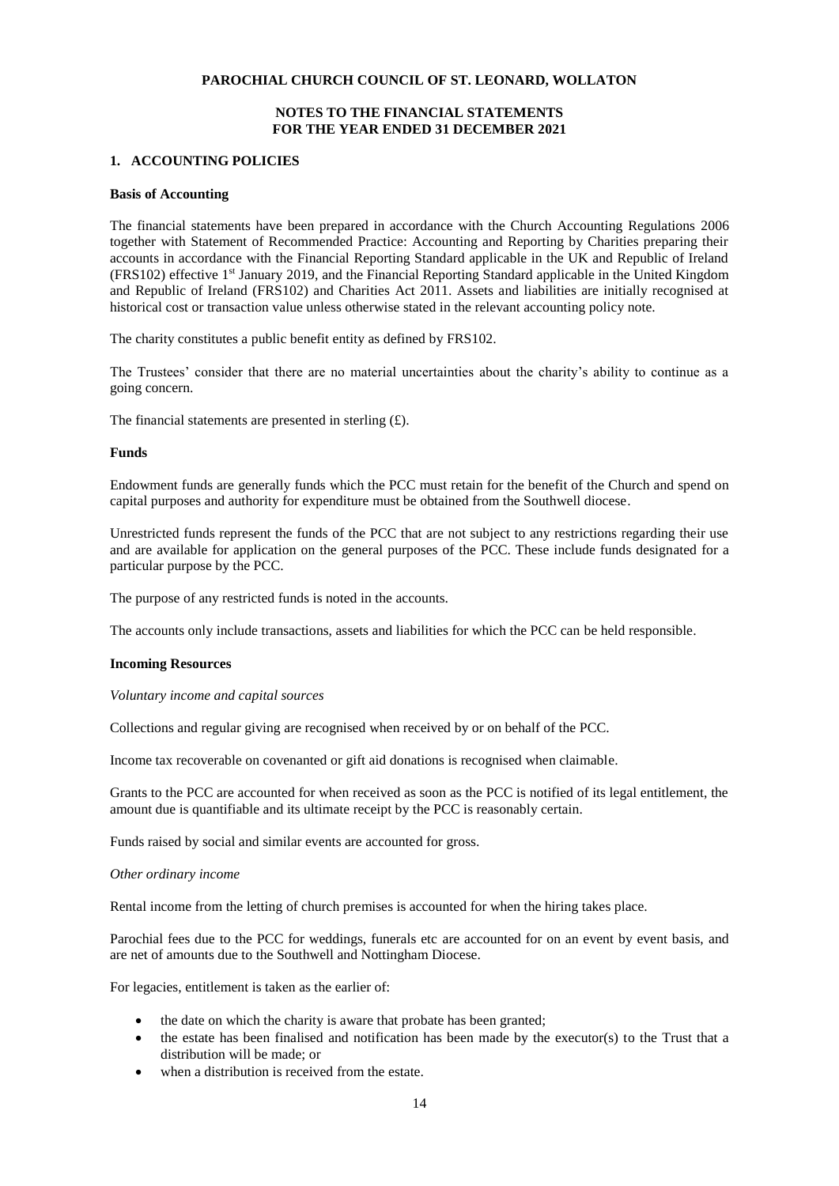## **NOTES TO THE FINANCIAL STATEMENTS FOR THE YEAR ENDED 31 DECEMBER 2021**

### **1. ACCOUNTING POLICIES**

## **Basis of Accounting**

The financial statements have been prepared in accordance with the Church Accounting Regulations 2006 together with Statement of Recommended Practice: Accounting and Reporting by Charities preparing their accounts in accordance with the Financial Reporting Standard applicable in the UK and Republic of Ireland (FRS102) effective 1st January 2019, and the Financial Reporting Standard applicable in the United Kingdom and Republic of Ireland (FRS102) and Charities Act 2011. Assets and liabilities are initially recognised at historical cost or transaction value unless otherwise stated in the relevant accounting policy note.

The charity constitutes a public benefit entity as defined by FRS102.

The Trustees' consider that there are no material uncertainties about the charity's ability to continue as a going concern.

The financial statements are presented in sterling  $(E)$ .

#### **Funds**

Endowment funds are generally funds which the PCC must retain for the benefit of the Church and spend on capital purposes and authority for expenditure must be obtained from the Southwell diocese.

Unrestricted funds represent the funds of the PCC that are not subject to any restrictions regarding their use and are available for application on the general purposes of the PCC. These include funds designated for a particular purpose by the PCC.

The purpose of any restricted funds is noted in the accounts.

The accounts only include transactions, assets and liabilities for which the PCC can be held responsible.

#### **Incoming Resources**

*Voluntary income and capital sources*

Collections and regular giving are recognised when received by or on behalf of the PCC.

Income tax recoverable on covenanted or gift aid donations is recognised when claimable.

Grants to the PCC are accounted for when received as soon as the PCC is notified of its legal entitlement, the amount due is quantifiable and its ultimate receipt by the PCC is reasonably certain.

Funds raised by social and similar events are accounted for gross.

#### *Other ordinary income*

Rental income from the letting of church premises is accounted for when the hiring takes place.

Parochial fees due to the PCC for weddings, funerals etc are accounted for on an event by event basis, and are net of amounts due to the Southwell and Nottingham Diocese.

For legacies, entitlement is taken as the earlier of:

- the date on which the charity is aware that probate has been granted;
- the estate has been finalised and notification has been made by the executor(s) to the Trust that a distribution will be made; or
- when a distribution is received from the estate.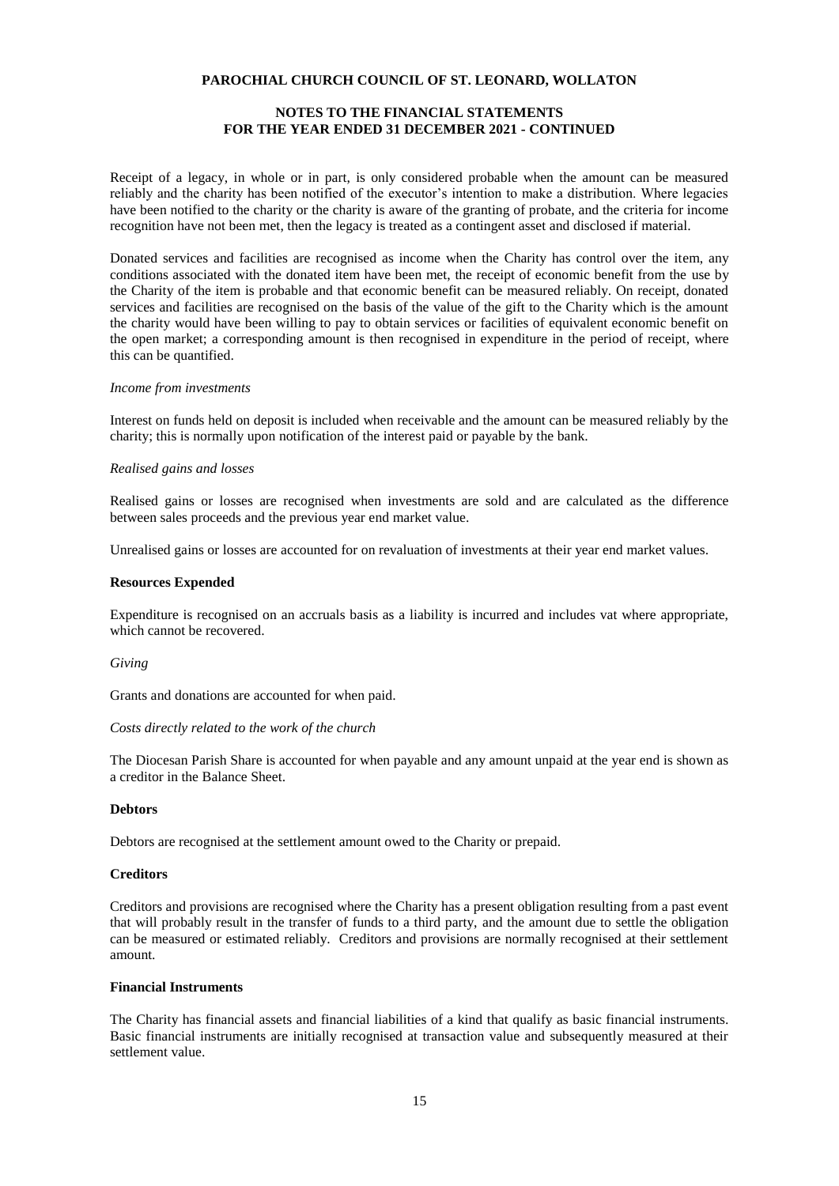## **NOTES TO THE FINANCIAL STATEMENTS FOR THE YEAR ENDED 31 DECEMBER 2021 - CONTINUED**

Receipt of a legacy, in whole or in part, is only considered probable when the amount can be measured reliably and the charity has been notified of the executor's intention to make a distribution. Where legacies have been notified to the charity or the charity is aware of the granting of probate, and the criteria for income recognition have not been met, then the legacy is treated as a contingent asset and disclosed if material.

Donated services and facilities are recognised as income when the Charity has control over the item, any conditions associated with the donated item have been met, the receipt of economic benefit from the use by the Charity of the item is probable and that economic benefit can be measured reliably. On receipt, donated services and facilities are recognised on the basis of the value of the gift to the Charity which is the amount the charity would have been willing to pay to obtain services or facilities of equivalent economic benefit on the open market; a corresponding amount is then recognised in expenditure in the period of receipt, where this can be quantified.

#### *Income from investments*

Interest on funds held on deposit is included when receivable and the amount can be measured reliably by the charity; this is normally upon notification of the interest paid or payable by the bank.

### *Realised gains and losses*

Realised gains or losses are recognised when investments are sold and are calculated as the difference between sales proceeds and the previous year end market value.

Unrealised gains or losses are accounted for on revaluation of investments at their year end market values.

#### **Resources Expended**

Expenditure is recognised on an accruals basis as a liability is incurred and includes vat where appropriate, which cannot be recovered.

#### *Giving*

Grants and donations are accounted for when paid.

### *Costs directly related to the work of the church*

The Diocesan Parish Share is accounted for when payable and any amount unpaid at the year end is shown as a creditor in the Balance Sheet.

### **Debtors**

Debtors are recognised at the settlement amount owed to the Charity or prepaid.

### **Creditors**

Creditors and provisions are recognised where the Charity has a present obligation resulting from a past event that will probably result in the transfer of funds to a third party, and the amount due to settle the obligation can be measured or estimated reliably. Creditors and provisions are normally recognised at their settlement amount.

#### **Financial Instruments**

The Charity has financial assets and financial liabilities of a kind that qualify as basic financial instruments. Basic financial instruments are initially recognised at transaction value and subsequently measured at their settlement value.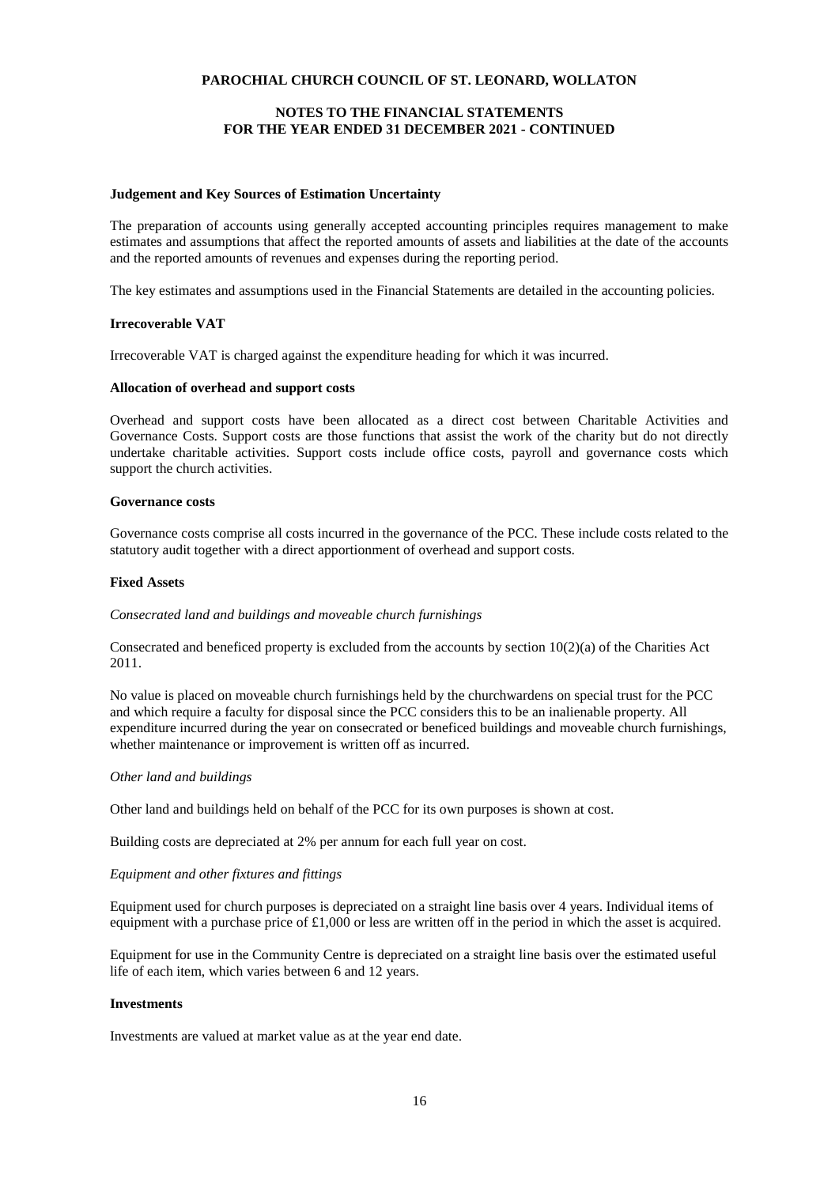## **NOTES TO THE FINANCIAL STATEMENTS FOR THE YEAR ENDED 31 DECEMBER 2021 - CONTINUED**

### **Judgement and Key Sources of Estimation Uncertainty**

The preparation of accounts using generally accepted accounting principles requires management to make estimates and assumptions that affect the reported amounts of assets and liabilities at the date of the accounts and the reported amounts of revenues and expenses during the reporting period.

The key estimates and assumptions used in the Financial Statements are detailed in the accounting policies.

## **Irrecoverable VAT**

Irrecoverable VAT is charged against the expenditure heading for which it was incurred.

### **Allocation of overhead and support costs**

Overhead and support costs have been allocated as a direct cost between Charitable Activities and Governance Costs. Support costs are those functions that assist the work of the charity but do not directly undertake charitable activities. Support costs include office costs, payroll and governance costs which support the church activities.

### **Governance costs**

Governance costs comprise all costs incurred in the governance of the PCC. These include costs related to the statutory audit together with a direct apportionment of overhead and support costs.

### **Fixed Assets**

### *Consecrated land and buildings and moveable church furnishings*

Consecrated and beneficed property is excluded from the accounts by section 10(2)(a) of the Charities Act 2011.

No value is placed on moveable church furnishings held by the churchwardens on special trust for the PCC and which require a faculty for disposal since the PCC considers this to be an inalienable property. All expenditure incurred during the year on consecrated or beneficed buildings and moveable church furnishings, whether maintenance or improvement is written off as incurred.

### *Other land and buildings*

Other land and buildings held on behalf of the PCC for its own purposes is shown at cost.

Building costs are depreciated at 2% per annum for each full year on cost.

### *Equipment and other fixtures and fittings*

Equipment used for church purposes is depreciated on a straight line basis over 4 years. Individual items of equipment with a purchase price of  $\text{\pounds}1,000$  or less are written off in the period in which the asset is acquired.

Equipment for use in the Community Centre is depreciated on a straight line basis over the estimated useful life of each item, which varies between 6 and 12 years.

#### **Investments**

Investments are valued at market value as at the year end date.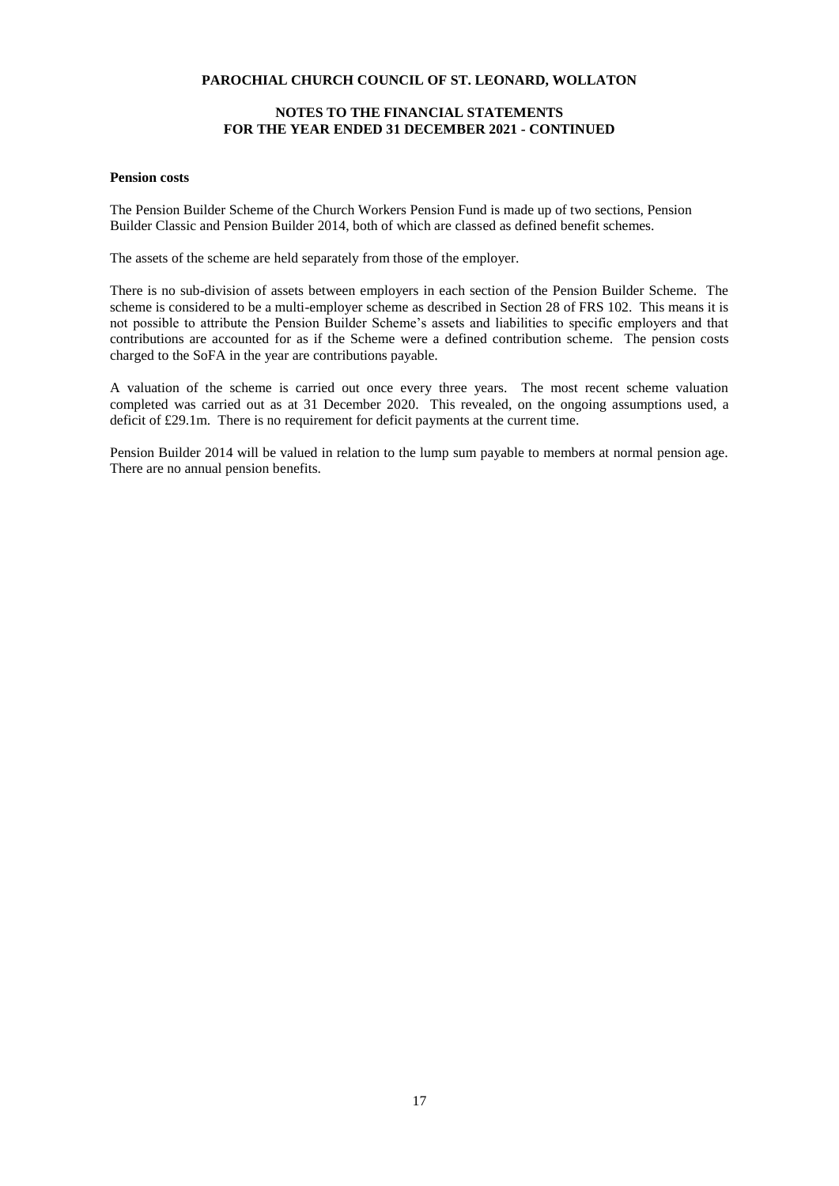## **NOTES TO THE FINANCIAL STATEMENTS FOR THE YEAR ENDED 31 DECEMBER 2021 - CONTINUED**

### **Pension costs**

The Pension Builder Scheme of the Church Workers Pension Fund is made up of two sections, Pension Builder Classic and Pension Builder 2014, both of which are classed as defined benefit schemes.

The assets of the scheme are held separately from those of the employer.

There is no sub-division of assets between employers in each section of the Pension Builder Scheme. The scheme is considered to be a multi-employer scheme as described in Section 28 of FRS 102. This means it is not possible to attribute the Pension Builder Scheme's assets and liabilities to specific employers and that contributions are accounted for as if the Scheme were a defined contribution scheme. The pension costs charged to the SoFA in the year are contributions payable.

A valuation of the scheme is carried out once every three years. The most recent scheme valuation completed was carried out as at 31 December 2020. This revealed, on the ongoing assumptions used, a deficit of £29.1m. There is no requirement for deficit payments at the current time.

Pension Builder 2014 will be valued in relation to the lump sum payable to members at normal pension age. There are no annual pension benefits.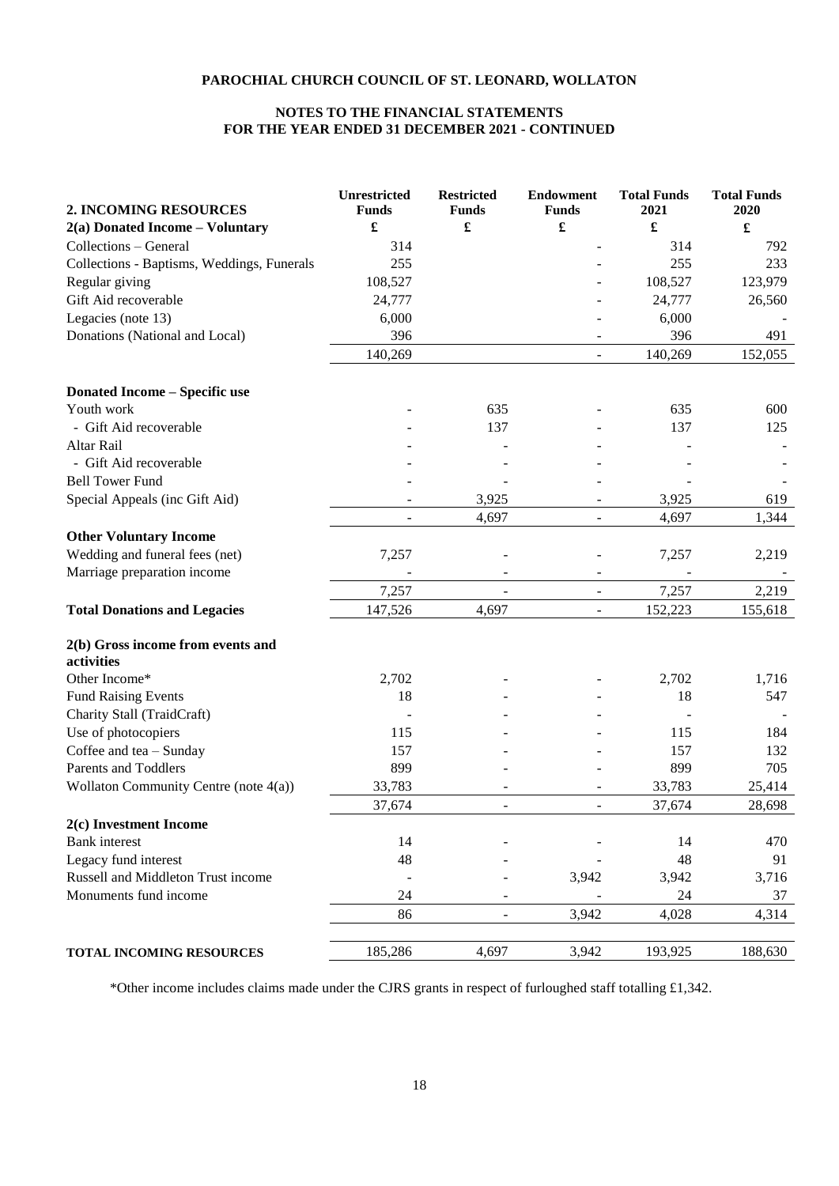## **NOTES TO THE FINANCIAL STATEMENTS FOR THE YEAR ENDED 31 DECEMBER 2021 - CONTINUED**

| 2. INCOMING RESOURCES                           | <b>Unrestricted</b><br><b>Funds</b> | <b>Restricted</b><br><b>Funds</b> | <b>Endowment</b><br><b>Funds</b> | <b>Total Funds</b><br>2021 | <b>Total Funds</b><br>2020 |
|-------------------------------------------------|-------------------------------------|-----------------------------------|----------------------------------|----------------------------|----------------------------|
| $2(a)$ Donated Income – Voluntary               | $\pmb{\mathfrak{L}}$                | $\pmb{\mathfrak{L}}$              | $\pmb{\mathfrak{L}}$             | £                          | $\pmb{\mathfrak{L}}$       |
| Collections - General                           | 314                                 |                                   |                                  | 314                        | 792                        |
| Collections - Baptisms, Weddings, Funerals      | 255                                 |                                   |                                  | 255                        | 233                        |
| Regular giving                                  | 108,527                             |                                   |                                  | 108,527                    | 123,979                    |
| Gift Aid recoverable                            | 24,777                              |                                   |                                  | 24,777                     | 26,560                     |
| Legacies (note 13)                              | 6,000                               |                                   |                                  | 6,000                      |                            |
| Donations (National and Local)                  | 396                                 |                                   |                                  | 396                        | 491                        |
|                                                 | 140,269                             |                                   |                                  | 140,269                    | 152,055                    |
|                                                 |                                     |                                   |                                  |                            |                            |
| <b>Donated Income - Specific use</b>            |                                     |                                   |                                  |                            |                            |
| Youth work<br>- Gift Aid recoverable            |                                     | 635<br>137                        |                                  | 635<br>137                 | 600                        |
| Altar Rail                                      |                                     |                                   |                                  |                            | 125                        |
| - Gift Aid recoverable                          |                                     |                                   |                                  |                            |                            |
| <b>Bell Tower Fund</b>                          |                                     |                                   |                                  |                            |                            |
|                                                 |                                     | 3,925                             |                                  |                            |                            |
| Special Appeals (inc Gift Aid)                  |                                     |                                   |                                  | 3,925                      | 619                        |
|                                                 |                                     | 4,697                             |                                  | 4,697                      | 1,344                      |
| <b>Other Voluntary Income</b>                   |                                     |                                   |                                  |                            |                            |
| Wedding and funeral fees (net)                  | 7,257                               |                                   |                                  | 7,257                      | 2,219                      |
| Marriage preparation income                     |                                     |                                   |                                  |                            |                            |
|                                                 | 7,257                               |                                   |                                  | 7,257                      | 2,219                      |
| <b>Total Donations and Legacies</b>             | 147,526                             | 4,697                             |                                  | 152,223                    | 155,618                    |
| 2(b) Gross income from events and<br>activities |                                     |                                   |                                  |                            |                            |
| Other Income*                                   | 2,702                               |                                   |                                  | 2,702                      | 1,716                      |
| <b>Fund Raising Events</b>                      | 18                                  |                                   |                                  | 18                         | 547                        |
| Charity Stall (TraidCraft)                      |                                     |                                   |                                  |                            |                            |
| Use of photocopiers                             | 115                                 |                                   |                                  | 115                        | 184                        |
| Coffee and tea - Sunday                         | 157                                 |                                   |                                  | 157                        | 132                        |
| <b>Parents and Toddlers</b>                     | 899                                 |                                   |                                  | 899                        | 705                        |
| Wollaton Community Centre (note 4(a))           | 33,783                              |                                   |                                  | 33,783                     | 25,414                     |
|                                                 | 37,674                              | $\blacksquare$                    |                                  | 37,674                     | 28,698                     |
| 2(c) Investment Income                          |                                     |                                   |                                  |                            |                            |
| <b>Bank</b> interest                            | 14                                  |                                   |                                  | 14                         | 470                        |
| Legacy fund interest                            | 48                                  |                                   |                                  | 48                         | 91                         |
| Russell and Middleton Trust income              | $\overline{\phantom{a}}$            |                                   | 3,942                            | 3,942                      | 3,716                      |
| Monuments fund income                           | 24                                  |                                   |                                  | 24                         | 37                         |
|                                                 | 86                                  |                                   | 3,942                            | 4,028                      | 4,314                      |
| TOTAL INCOMING RESOURCES                        | 185,286                             | 4,697                             | 3,942                            | 193,925                    | 188,630                    |

\*Other income includes claims made under the CJRS grants in respect of furloughed staff totalling £1,342.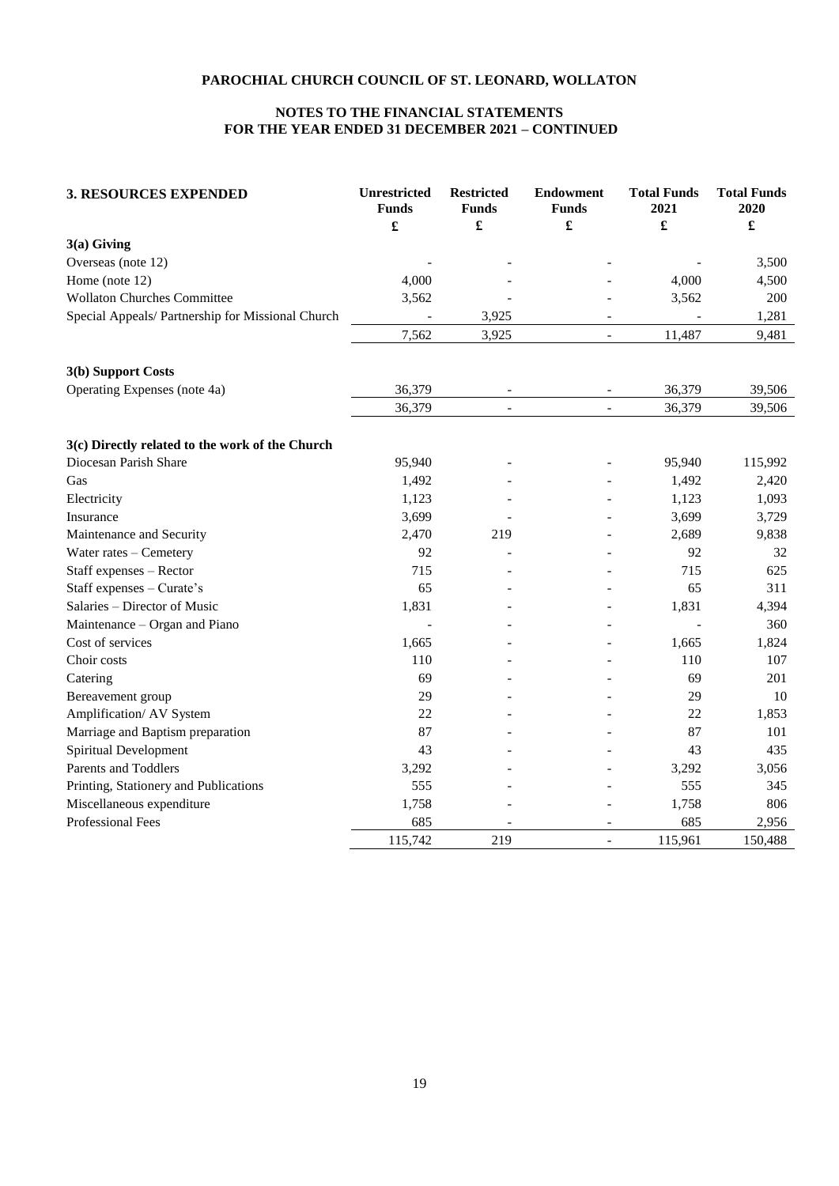## **NOTES TO THE FINANCIAL STATEMENTS FOR THE YEAR ENDED 31 DECEMBER 2021 – CONTINUED**

| <b>3. RESOURCES EXPENDED</b>                      | <b>Unrestricted</b><br><b>Funds</b><br>£ | <b>Restricted</b><br><b>Funds</b><br>£ | <b>Endowment</b><br><b>Funds</b><br>£ | <b>Total Funds</b><br>2021<br>£ | <b>Total Funds</b><br>2020<br>£ |
|---------------------------------------------------|------------------------------------------|----------------------------------------|---------------------------------------|---------------------------------|---------------------------------|
| $3(a)$ Giving                                     |                                          |                                        |                                       |                                 |                                 |
| Overseas (note 12)                                |                                          |                                        |                                       |                                 | 3,500                           |
| Home (note 12)                                    | 4,000                                    |                                        |                                       | 4,000                           | 4,500                           |
| <b>Wollaton Churches Committee</b>                | 3,562                                    |                                        |                                       | 3,562                           | 200                             |
| Special Appeals/ Partnership for Missional Church |                                          | 3,925                                  |                                       |                                 | 1,281                           |
|                                                   | 7,562                                    | 3,925                                  | $\overline{a}$                        | 11,487                          | 9,481                           |
| 3(b) Support Costs                                |                                          |                                        |                                       |                                 |                                 |
| Operating Expenses (note 4a)                      | 36,379                                   | $\qquad \qquad \blacksquare$           | $\overline{\phantom{a}}$              | 36,379                          | 39,506                          |
|                                                   | 36,379                                   | $\qquad \qquad -$                      | $\overline{\phantom{a}}$              | 36,379                          | 39,506                          |
| 3(c) Directly related to the work of the Church   |                                          |                                        |                                       |                                 |                                 |
| Diocesan Parish Share                             | 95,940                                   |                                        |                                       | 95,940                          | 115,992                         |
| Gas                                               | 1,492                                    |                                        |                                       | 1,492                           | 2,420                           |
| Electricity                                       | 1,123                                    |                                        |                                       | 1,123                           | 1,093                           |
| Insurance                                         | 3,699                                    |                                        |                                       | 3,699                           | 3,729                           |
| Maintenance and Security                          | 2,470                                    | 219                                    |                                       | 2,689                           | 9,838                           |
| Water rates - Cemetery                            | 92                                       |                                        |                                       | 92                              | 32                              |
| Staff expenses - Rector                           | 715                                      |                                        |                                       | 715                             | 625                             |
| Staff expenses - Curate's                         | 65                                       |                                        |                                       | 65                              | 311                             |
| Salaries - Director of Music                      | 1,831                                    |                                        |                                       | 1,831                           | 4,394                           |
| Maintenance - Organ and Piano                     |                                          |                                        |                                       |                                 | 360                             |
| Cost of services                                  | 1,665                                    |                                        |                                       | 1,665                           | 1,824                           |
| Choir costs                                       | 110                                      |                                        |                                       | 110                             | 107                             |
| Catering                                          | 69                                       |                                        |                                       | 69                              | 201                             |
| Bereavement group                                 | 29                                       |                                        |                                       | 29                              | 10                              |
| Amplification/ AV System                          | 22                                       |                                        |                                       | 22                              | 1,853                           |
| Marriage and Baptism preparation                  | 87                                       |                                        |                                       | 87                              | 101                             |
| Spiritual Development                             | 43                                       |                                        |                                       | 43                              | 435                             |
| Parents and Toddlers                              | 3,292                                    |                                        |                                       | 3,292                           | 3,056                           |
| Printing, Stationery and Publications             | 555                                      |                                        |                                       | 555                             | 345                             |
| Miscellaneous expenditure                         | 1,758                                    |                                        |                                       | 1,758                           | 806                             |
| Professional Fees                                 | 685                                      |                                        | ۰                                     | 685                             | 2,956                           |
|                                                   | 115,742                                  | 219                                    |                                       | 115,961                         | 150,488                         |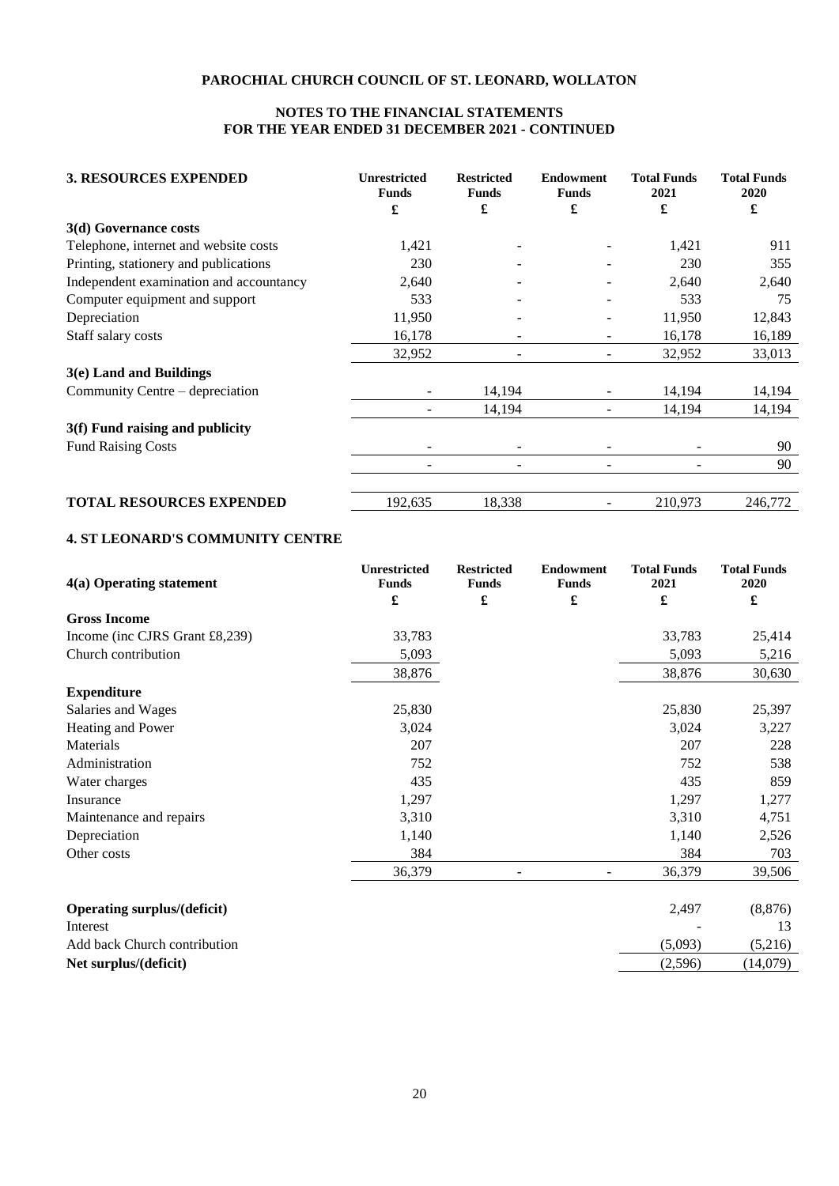## **NOTES TO THE FINANCIAL STATEMENTS FOR THE YEAR ENDED 31 DECEMBER 2021 - CONTINUED**

| <b>3. RESOURCES EXPENDED</b>            | <b>Unrestricted</b><br><b>Funds</b> | <b>Restricted</b><br><b>Funds</b> | <b>Endowment</b><br><b>Funds</b> | <b>Total Funds</b><br>2021 | <b>Total Funds</b><br>2020 |
|-----------------------------------------|-------------------------------------|-----------------------------------|----------------------------------|----------------------------|----------------------------|
|                                         | £                                   | £                                 | £                                | £                          | £                          |
| 3(d) Governance costs                   |                                     |                                   |                                  |                            |                            |
| Telephone, internet and website costs   | 1,421                               |                                   |                                  | 1,421                      | 911                        |
| Printing, stationery and publications   | 230                                 |                                   |                                  | 230                        | 355                        |
| Independent examination and accountancy | 2,640                               |                                   |                                  | 2,640                      | 2,640                      |
| Computer equipment and support          | 533                                 |                                   |                                  | 533                        | 75                         |
| Depreciation                            | 11,950                              |                                   |                                  | 11,950                     | 12,843                     |
| Staff salary costs                      | 16,178                              |                                   |                                  | 16,178                     | 16,189                     |
|                                         | 32,952                              |                                   |                                  | 32,952                     | 33,013                     |
| $3(e)$ Land and Buildings               |                                     |                                   |                                  |                            |                            |
| Community Centre – depreciation         |                                     | 14,194                            |                                  | 14,194                     | 14,194                     |
|                                         |                                     | 14,194                            |                                  | 14,194                     | 14,194                     |
| 3(f) Fund raising and publicity         |                                     |                                   |                                  |                            |                            |
| <b>Fund Raising Costs</b>               |                                     |                                   |                                  |                            | 90                         |
|                                         |                                     |                                   |                                  |                            | 90                         |
| <b>TOTAL RESOURCES EXPENDED</b>         | 192,635                             | 18,338                            |                                  | 210,973                    | 246,772                    |

## **4. ST LEONARD'S COMMUNITY CENTRE**

| 4(a) Operating statement           | <b>Unrestricted</b><br><b>Funds</b> | <b>Restricted</b><br><b>Funds</b> | <b>Endowment</b><br><b>Funds</b> | <b>Total Funds</b><br>2021 | <b>Total Funds</b><br>2020 |
|------------------------------------|-------------------------------------|-----------------------------------|----------------------------------|----------------------------|----------------------------|
|                                    | £                                   | £                                 | £                                | £                          | £                          |
| <b>Gross Income</b>                |                                     |                                   |                                  |                            |                            |
| Income (inc CJRS Grant £8,239)     | 33,783                              |                                   |                                  | 33,783                     | 25,414                     |
| Church contribution                | 5,093                               |                                   |                                  | 5,093                      | 5,216                      |
|                                    | 38,876                              |                                   |                                  | 38,876                     | 30,630                     |
| <b>Expenditure</b>                 |                                     |                                   |                                  |                            |                            |
| Salaries and Wages                 | 25,830                              |                                   |                                  | 25,830                     | 25,397                     |
| Heating and Power                  | 3,024                               |                                   |                                  | 3,024                      | 3,227                      |
| Materials                          | 207                                 |                                   |                                  | 207                        | 228                        |
| Administration                     | 752                                 |                                   |                                  | 752                        | 538                        |
| Water charges                      | 435                                 |                                   |                                  | 435                        | 859                        |
| Insurance                          | 1,297                               |                                   |                                  | 1,297                      | 1,277                      |
| Maintenance and repairs            | 3,310                               |                                   |                                  | 3,310                      | 4,751                      |
| Depreciation                       | 1,140                               |                                   |                                  | 1,140                      | 2,526                      |
| Other costs                        | 384                                 |                                   |                                  | 384                        | 703                        |
|                                    | 36,379                              |                                   |                                  | 36,379                     | 39,506                     |
|                                    |                                     |                                   |                                  |                            |                            |
| <b>Operating surplus/(deficit)</b> |                                     |                                   |                                  | 2,497                      | (8, 876)                   |
| Interest                           |                                     |                                   |                                  |                            | 13                         |
| Add back Church contribution       |                                     |                                   |                                  | (5,093)                    | (5,216)                    |
| Net surplus/(deficit)              |                                     |                                   |                                  | (2,596)                    | (14,079)                   |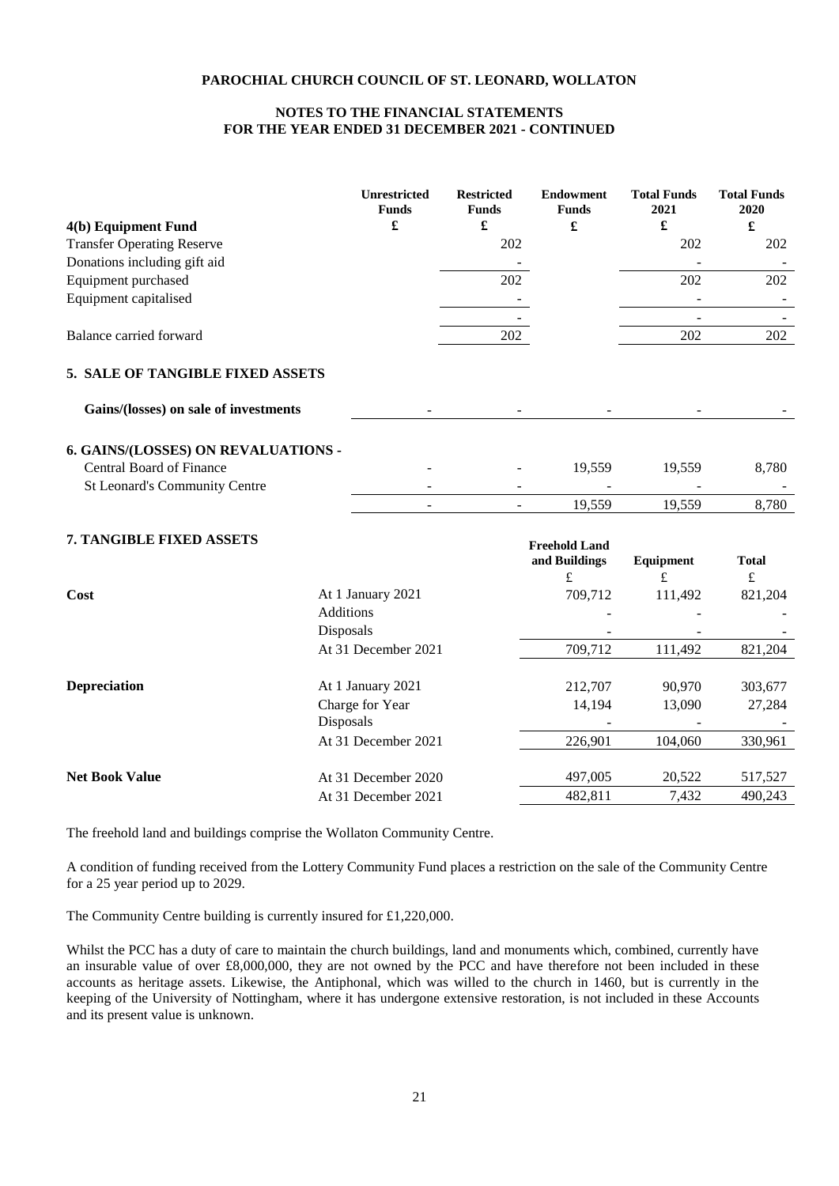## **NOTES TO THE FINANCIAL STATEMENTS FOR THE YEAR ENDED 31 DECEMBER 2021 - CONTINUED**

|                                       | <b>Unrestricted</b><br><b>Funds</b> | <b>Restricted</b><br><b>Funds</b> | <b>Endowment</b><br><b>Funds</b>      | <b>Total Funds</b><br>2021 | <b>Total Funds</b><br>2020 |
|---------------------------------------|-------------------------------------|-----------------------------------|---------------------------------------|----------------------------|----------------------------|
| 4(b) Equipment Fund                   | £                                   | £                                 | £                                     | $\pmb{\mathfrak{L}}$       | £                          |
| <b>Transfer Operating Reserve</b>     |                                     | 202                               |                                       | 202                        | 202                        |
| Donations including gift aid          |                                     |                                   |                                       |                            |                            |
| Equipment purchased                   |                                     | 202                               |                                       | 202                        | 202                        |
| Equipment capitalised                 |                                     |                                   |                                       |                            |                            |
|                                       |                                     |                                   |                                       |                            |                            |
| Balance carried forward               |                                     | 202                               |                                       | 202                        | 202                        |
| 5. SALE OF TANGIBLE FIXED ASSETS      |                                     |                                   |                                       |                            |                            |
| Gains/(losses) on sale of investments |                                     |                                   |                                       |                            |                            |
| 6. GAINS/(LOSSES) ON REVALUATIONS -   |                                     |                                   |                                       |                            |                            |
| <b>Central Board of Finance</b>       |                                     |                                   | 19,559                                | 19,559                     | 8,780                      |
| St Leonard's Community Centre         |                                     |                                   |                                       |                            |                            |
|                                       |                                     |                                   | 19,559                                | 19,559                     | 8,780                      |
| 7. TANGIBLE FIXED ASSETS              |                                     |                                   | <b>Freehold Land</b><br>and Buildings |                            | <b>Total</b>               |
|                                       |                                     |                                   | £                                     | Equipment<br>$\pounds$     | $\pounds$                  |
| Cost                                  | At 1 January 2021                   |                                   | 709,712                               | 111,492                    | 821,204                    |
|                                       | <b>Additions</b>                    |                                   |                                       |                            |                            |
|                                       | Disposals                           |                                   |                                       |                            |                            |
|                                       | At 31 December 2021                 |                                   | 709,712                               | 111,492                    | 821,204                    |
|                                       |                                     |                                   |                                       |                            |                            |

| <b>Depreciation</b>   | At 1 January 2021   | 212,707 | 90.970  | 303,677 |
|-----------------------|---------------------|---------|---------|---------|
|                       | Charge for Year     | 14.194  | 13.090  | 27,284  |
|                       | <b>Disposals</b>    |         |         |         |
|                       | At 31 December 2021 | 226,901 | 104.060 | 330,961 |
|                       |                     |         |         |         |
| <b>Net Book Value</b> | At 31 December 2020 | 497,005 | 20.522  | 517,527 |
|                       | At 31 December 2021 | 482.811 | 7.432   | 490.243 |

The freehold land and buildings comprise the Wollaton Community Centre.

A condition of funding received from the Lottery Community Fund places a restriction on the sale of the Community Centre for a 25 year period up to 2029.

The Community Centre building is currently insured for £1,220,000.

Whilst the PCC has a duty of care to maintain the church buildings, land and monuments which, combined, currently have an insurable value of over £8,000,000, they are not owned by the PCC and have therefore not been included in these accounts as heritage assets. Likewise, the Antiphonal, which was willed to the church in 1460, but is currently in the keeping of the University of Nottingham, where it has undergone extensive restoration, is not included in these Accounts and its present value is unknown.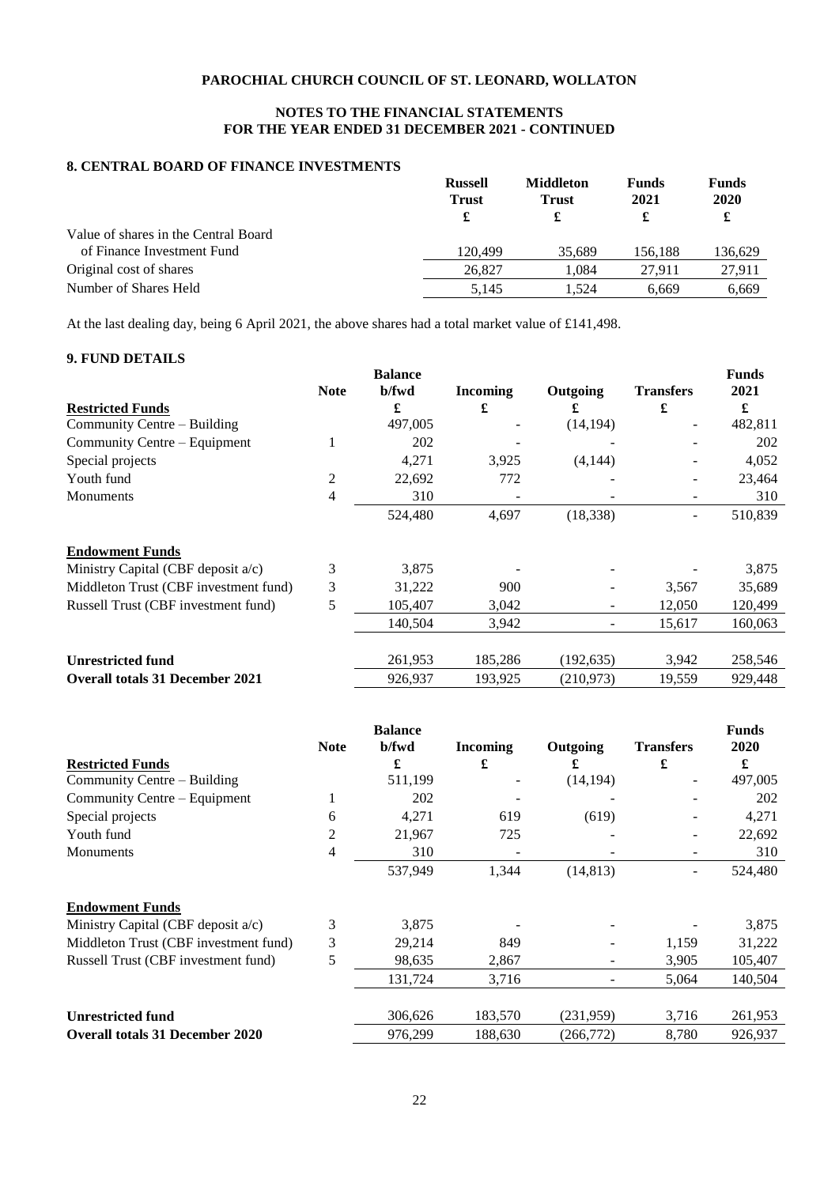## **NOTES TO THE FINANCIAL STATEMENTS FOR THE YEAR ENDED 31 DECEMBER 2021 - CONTINUED**

## **8. CENTRAL BOARD OF FINANCE INVESTMENTS**

|                                      | <b>Russell</b><br><b>Trust</b><br>£ | <b>Middleton</b><br><b>Trust</b><br>£ | <b>Funds</b><br>2021 | <b>Funds</b><br>2020<br>£ |
|--------------------------------------|-------------------------------------|---------------------------------------|----------------------|---------------------------|
| Value of shares in the Central Board |                                     |                                       |                      |                           |
| of Finance Investment Fund           | 120.499                             | 35.689                                | 156.188              | 136,629                   |
| Original cost of shares              | 26,827                              | 1.084                                 | 27.911               | 27.911                    |
| Number of Shares Held                | 5.145                               | 1.524                                 | 6.669                | 6.669                     |

At the last dealing day, being 6 April 2021, the above shares had a total market value of £141,498.

## **9. FUND DETAILS**

|                                        |             | <b>Balance</b> |                 |            |                   | <b>Funds</b> |
|----------------------------------------|-------------|----------------|-----------------|------------|-------------------|--------------|
|                                        | <b>Note</b> | b/fwd          | <b>Incoming</b> | Outgoing   | <b>Transfers</b>  | 2021         |
| <b>Restricted Funds</b>                |             | £              | £               | £          | £                 | £            |
| Community Centre – Building            |             | 497,005        |                 | (14, 194)  | $\qquad \qquad -$ | 482,811      |
| Community Centre – Equipment           | 1           | 202            |                 |            |                   | 202          |
| Special projects                       |             | 4,271          | 3,925           | (4,144)    |                   | 4,052        |
| Youth fund                             | 2           | 22,692         | 772             |            |                   | 23,464       |
| Monuments                              | 4           | 310            |                 |            |                   | 310          |
|                                        |             | 524,480        | 4,697           | (18, 338)  |                   | 510,839      |
| <b>Endowment Funds</b>                 |             |                |                 |            |                   |              |
| Ministry Capital (CBF deposit a/c)     | 3           | 3,875          |                 |            |                   | 3,875        |
| Middleton Trust (CBF investment fund)  | 3           | 31,222         | 900             |            | 3,567             | 35,689       |
| Russell Trust (CBF investment fund)    | 5           | 105,407        | 3,042           |            | 12,050            | 120,499      |
|                                        |             | 140,504        | 3,942           |            | 15,617            | 160,063      |
|                                        |             |                |                 |            |                   |              |
| <b>Unrestricted fund</b>               |             | 261,953        | 185,286         | (192, 635) | 3,942             | 258,546      |
| <b>Overall totals 31 December 2021</b> |             | 926,937        | 193,925         | (210,973)  | 19,559            | 929,448      |

|                                        |                | <b>Balance</b> |                 |           |                  | <b>Funds</b> |
|----------------------------------------|----------------|----------------|-----------------|-----------|------------------|--------------|
|                                        | <b>Note</b>    | b/fwd          | <b>Incoming</b> | Outgoing  | <b>Transfers</b> | 2020         |
| <b>Restricted Funds</b>                |                | £              | £               | £         | £                | £            |
| Community Centre – Building            |                | 511,199        |                 | (14, 194) | ۰                | 497,005      |
| Community Centre – Equipment           |                | 202            |                 |           |                  | 202          |
| Special projects                       | 6              | 4,271          | 619             | (619)     |                  | 4,271        |
| Youth fund                             | 2              | 21,967         | 725             |           |                  | 22,692       |
| <b>Monuments</b>                       | $\overline{4}$ | 310            |                 |           | -                | 310          |
|                                        |                | 537,949        | 1,344           | (14, 813) | $\overline{a}$   | 524,480      |
| <b>Endowment Funds</b>                 |                |                |                 |           |                  |              |
| Ministry Capital (CBF deposit a/c)     | 3              | 3,875          |                 |           |                  | 3,875        |
| Middleton Trust (CBF investment fund)  | 3              | 29,214         | 849             |           | 1,159            | 31,222       |
| Russell Trust (CBF investment fund)    | 5              | 98,635         | 2,867           |           | 3,905            | 105,407      |
|                                        |                | 131,724        | 3,716           |           | 5,064            | 140,504      |
| <b>Unrestricted fund</b>               |                | 306,626        | 183,570         | (231,959) | 3,716            | 261,953      |
| <b>Overall totals 31 December 2020</b> |                | 976,299        | 188,630         | (266,772) | 8,780            | 926,937      |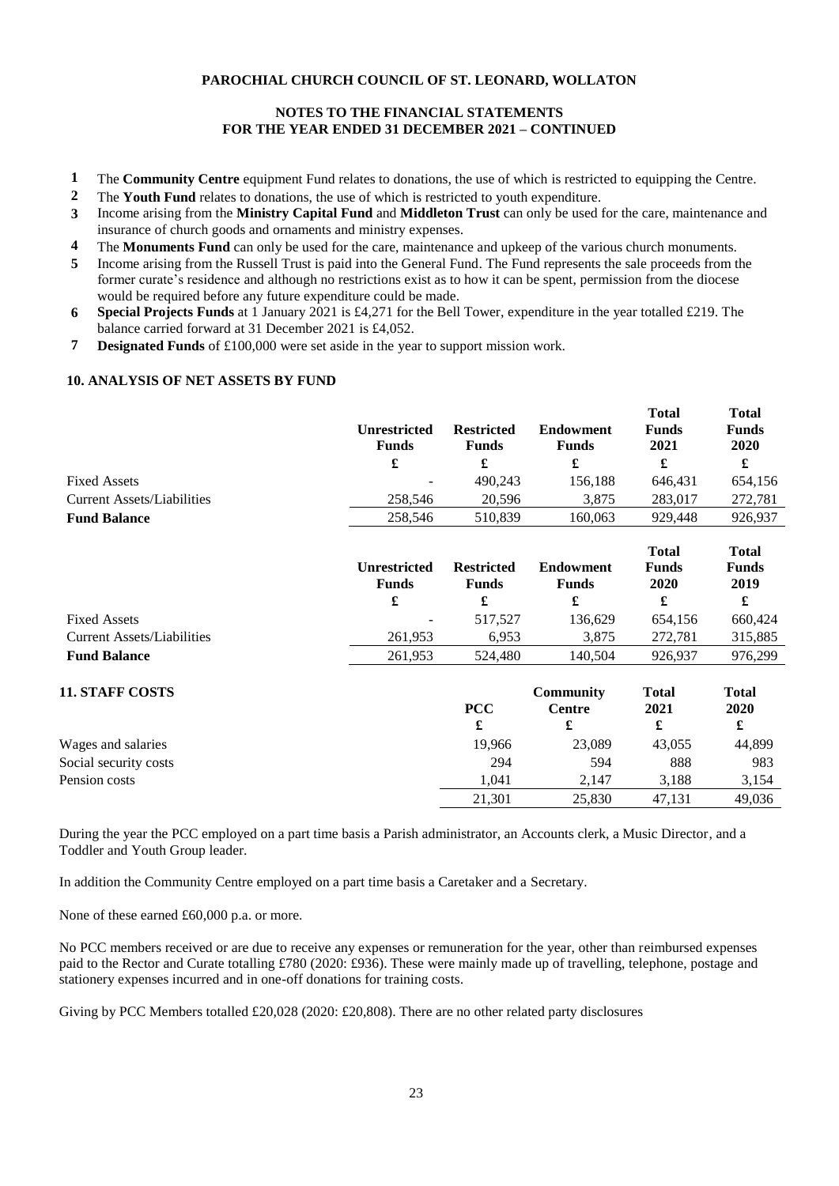## **NOTES TO THE FINANCIAL STATEMENTS FOR THE YEAR ENDED 31 DECEMBER 2021 – CONTINUED**

- **1** The **Community Centre** equipment Fund relates to donations, the use of which is restricted to equipping the Centre.
- **2** The **Youth Fund** relates to donations, the use of which is restricted to youth expenditure.
- **3** Income arising from the **Ministry Capital Fund** and **Middleton Trust** can only be used for the care, maintenance and insurance of church goods and ornaments and ministry expenses.
- **4** The **Monuments Fund** can only be used for the care, maintenance and upkeep of the various church monuments.
- **5** Income arising from the Russell Trust is paid into the General Fund. The Fund represents the sale proceeds from the former curate's residence and although no restrictions exist as to how it can be spent, permission from the diocese would be required before any future expenditure could be made.
- **6 Special Projects Funds** at 1 January 2021 is £4,271 for the Bell Tower, expenditure in the year totalled £219. The balance carried forward at 31 December 2021 is £4,052.
- **7 Designated Funds** of £100,000 were set aside in the year to support mission work.

## **10. ANALYSIS OF NET ASSETS BY FUND**

|                            | Unrestricted<br><b>Funds</b> | <b>Restricted</b><br><b>Funds</b> | <b>Endowment</b><br>Funds | <b>Total</b><br><b>Funds</b><br>2021 | <b>Total</b><br><b>Funds</b><br>2020 |
|----------------------------|------------------------------|-----------------------------------|---------------------------|--------------------------------------|--------------------------------------|
|                            | £                            |                                   |                           | £                                    |                                      |
| <b>Fixed Assets</b>        | -                            | 490.243                           | 156.188                   | 646.431                              | 654,156                              |
| Current Assets/Liabilities | 258.546                      | 20.596                            | 3,875                     | 283,017                              | 272.781                              |
| <b>Fund Balance</b>        | 258,546                      | 510.839                           | 160.063                   | 929,448                              | 926.937                              |

**Total** 

**Total 2020**

|                                   | Unrestricted<br><b>Funds</b> | <b>Restricted</b><br><b>Funds</b> | Endowment<br><b>Funds</b> | <b>Total</b><br><b>Funds</b><br>2020 | <b>Total</b><br><b>Funds</b><br>2019 |
|-----------------------------------|------------------------------|-----------------------------------|---------------------------|--------------------------------------|--------------------------------------|
|                                   | £                            |                                   |                           |                                      |                                      |
| <b>Fixed Assets</b>               | $\overline{\phantom{a}}$     | 517.527                           | 136.629                   | 654.156                              | 660.424                              |
| <b>Current Assets/Liabilities</b> | 261.953                      | 6.953                             | 3.875                     | 272.781                              | 315,885                              |
| <b>Fund Balance</b>               | 261,953                      | 524,480                           | 140.504                   | 926.937                              | 976.299                              |

## **11. STAFF COSTS**

|                       | <b>PCC</b> | Centre | 2021   | 2020   |
|-----------------------|------------|--------|--------|--------|
|                       | £          |        |        | d.     |
| Wages and salaries    | 19.966     | 23,089 | 43,055 | 44,899 |
| Social security costs | 294        | 594    | 888    | 983    |
| Pension costs         | 1.041      | 2.147  | 3.188  | 3.154  |
|                       | 21,301     | 25,830 | 47,131 | 49,036 |

**PCC**

**Community** 

**Total 2021**

During the year the PCC employed on a part time basis a Parish administrator, an Accounts clerk, a Music Director, and a Toddler and Youth Group leader.

In addition the Community Centre employed on a part time basis a Caretaker and a Secretary.

None of these earned £60,000 p.a. or more.

No PCC members received or are due to receive any expenses or remuneration for the year, other than reimbursed expenses paid to the Rector and Curate totalling £780 (2020: £936). These were mainly made up of travelling, telephone, postage and stationery expenses incurred and in one-off donations for training costs.

Giving by PCC Members totalled £20,028 (2020: £20,808). There are no other related party disclosures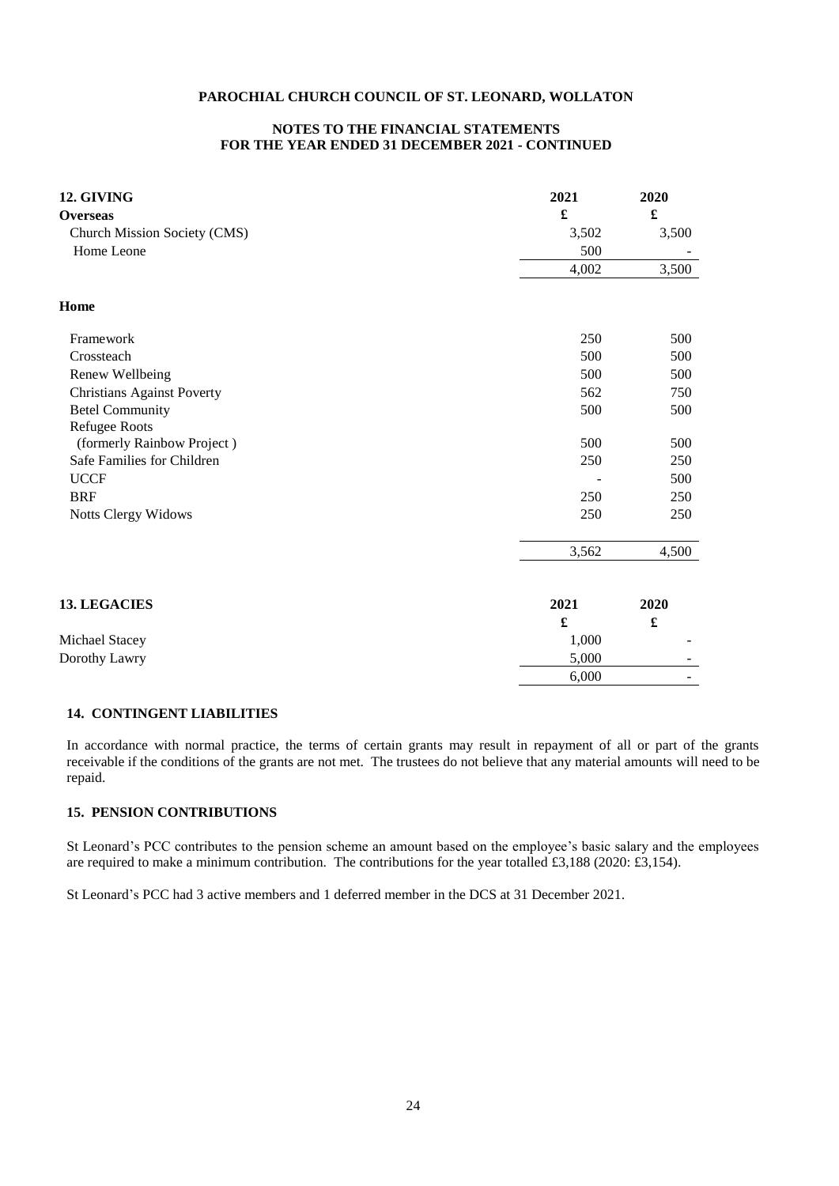## **NOTES TO THE FINANCIAL STATEMENTS FOR THE YEAR ENDED 31 DECEMBER 2021 - CONTINUED**

| 12. GIVING<br><b>Overseas</b>     | 2021<br>£ | 2020<br>$\pmb{\mathfrak{L}}$ |
|-----------------------------------|-----------|------------------------------|
| Church Mission Society (CMS)      | 3,502     | 3,500                        |
| Home Leone                        | 500       |                              |
|                                   | 4,002     | 3,500                        |
| Home                              |           |                              |
| Framework                         | 250       | 500                          |
| Crossteach                        | 500       | 500                          |
| Renew Wellbeing                   | 500       | 500                          |
| <b>Christians Against Poverty</b> | 562       | 750                          |
| <b>Betel Community</b>            | 500       | 500                          |
| Refugee Roots                     |           |                              |
| (formerly Rainbow Project)        | 500       | 500                          |
| Safe Families for Children        | 250       | 250                          |
| <b>UCCF</b>                       |           | 500                          |
| <b>BRF</b>                        | 250       | 250                          |
| Notts Clergy Widows               | 250       | 250                          |
|                                   | 3,562     | 4,500                        |
| <b>13. LEGACIES</b>               | 2021      | 2020                         |
|                                   | £         | $\pmb{\mathfrak{L}}$         |
| Michael Stacey                    | 1,000     |                              |
| Dorothy Lawry                     | 5,000     |                              |
|                                   | 6,000     |                              |

## **14. CONTINGENT LIABILITIES**

In accordance with normal practice, the terms of certain grants may result in repayment of all or part of the grants receivable if the conditions of the grants are not met. The trustees do not believe that any material amounts will need to be repaid.

## **15. PENSION CONTRIBUTIONS**

St Leonard's PCC contributes to the pension scheme an amount based on the employee's basic salary and the employees are required to make a minimum contribution. The contributions for the year totalled £3,188 (2020: £3,154).

St Leonard's PCC had 3 active members and 1 deferred member in the DCS at 31 December 2021.